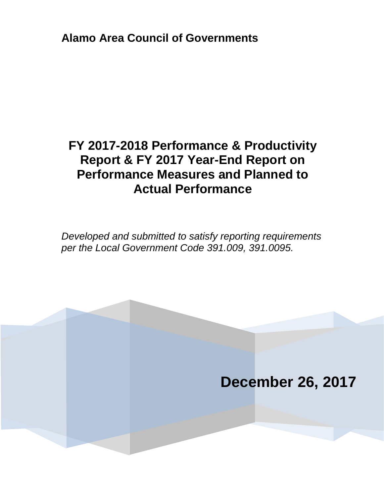**Alamo Area Council of Governments**

# **FY 2017-2018 Performance & Productivity Report & FY 2017 Year-End Report on Performance Measures and Planned to Actual Performance**

*Developed and submitted to satisfy reporting requirements per the Local Government Code 391.009, 391.0095.*

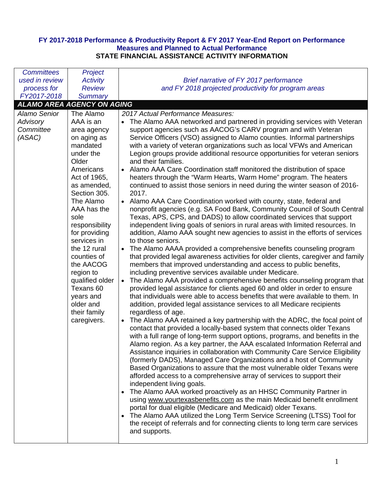## **FY 2017-2018 Performance & Productivity Report & FY 2017 Year-End Report on Performance Measures and Planned to Actual Performance STATE FINANCIAL ASSISTANCE ACTIVITY INFORMATION**

| <b>Committees</b>   | Project                           |                                                                                      |
|---------------------|-----------------------------------|--------------------------------------------------------------------------------------|
| used in review      | <b>Activity</b>                   | Brief narrative of FY 2017 performance                                               |
| process for         | <b>Review</b>                     | and FY 2018 projected productivity for program areas                                 |
| FY2017-2018         | <b>Summary</b>                    |                                                                                      |
|                     | <b>ALAMO AREA AGENCY ON AGING</b> |                                                                                      |
| <b>Alamo Senior</b> | The Alamo                         | 2017 Actual Performance Measures:                                                    |
| Advisory            | AAA is an                         | • The Alamo AAA networked and partnered in providing services with Veteran           |
| Committee           | area agency                       | support agencies such as AACOG's CARV program and with Veteran                       |
| (ASAC)              | on aging as                       | Service Officers (VSO) assigned to Alamo counties. Informal partnerships             |
|                     | mandated                          | with a variety of veteran organizations such as local VFWs and American              |
|                     | under the                         | Legion groups provide additional resource opportunities for veteran seniors          |
|                     | Older                             | and their families.                                                                  |
|                     | Americans                         | Alamo AAA Care Coordination staff monitored the distribution of space                |
|                     | Act of 1965,                      | heaters through the "Warm Hearts, Warm Home" program. The heaters                    |
|                     | as amended,                       | continued to assist those seniors in need during the winter season of 2016-          |
|                     | Section 305.                      | 2017.                                                                                |
|                     | The Alamo                         | • Alamo AAA Care Coordination worked with county, state, federal and                 |
|                     | AAA has the                       | nonprofit agencies (e.g. SA Food Bank, Community Council of South Central            |
|                     | sole                              | Texas, APS, CPS, and DADS) to allow coordinated services that support                |
|                     | responsibility                    | independent living goals of seniors in rural areas with limited resources. In        |
|                     | for providing                     | addition, Alamo AAA sought new agencies to assist in the efforts of services         |
|                     | services in                       | to those seniors.                                                                    |
|                     | the 12 rural                      | The Alamo AAAA provided a comprehensive benefits counseling program                  |
|                     | counties of                       | that provided legal awareness activities for older clients, caregiver and family     |
|                     | the AACOG                         | members that improved understanding and access to public benefits,                   |
|                     | region to                         | including preventive services available under Medicare.                              |
|                     | qualified older                   | The Alamo AAA provided a comprehensive benefits counseling program that<br>$\bullet$ |
|                     | Texans 60                         | provided legal assistance for clients aged 60 and older in order to ensure           |
|                     | years and                         | that individuals were able to access benefits that were available to them. In        |
|                     | older and                         | addition, provided legal assistance services to all Medicare recipients              |
|                     | their family                      | regardless of age.                                                                   |
|                     | caregivers.                       | The Alamo AAA retained a key partnership with the ADRC, the focal point of           |
|                     |                                   | contact that provided a locally-based system that connects older Texans              |
|                     |                                   | with a full range of long-term support options, programs, and benefits in the        |
|                     |                                   | Alamo region. As a key partner, the AAA escalated Information Referral and           |
|                     |                                   | Assistance inquiries in collaboration with Community Care Service Eligibility        |
|                     |                                   | (formerly DADS), Managed Care Organizations and a host of Community                  |
|                     |                                   | Based Organizations to assure that the most vulnerable older Texans were             |
|                     |                                   | afforded access to a comprehensive array of services to support their                |
|                     |                                   | independent living goals.                                                            |
|                     |                                   | The Alamo AAA worked proactively as an HHSC Community Partner in                     |
|                     |                                   | using www.yourtexasbenefits.com as the main Medicaid benefit enrollment              |
|                     |                                   | portal for dual eligible (Medicare and Medicaid) older Texans.                       |
|                     |                                   | The Alamo AAA utilized the Long Term Service Screening (LTSS) Tool for<br>$\bullet$  |
|                     |                                   | the receipt of referrals and for connecting clients to long term care services       |
|                     |                                   | and supports.                                                                        |
|                     |                                   |                                                                                      |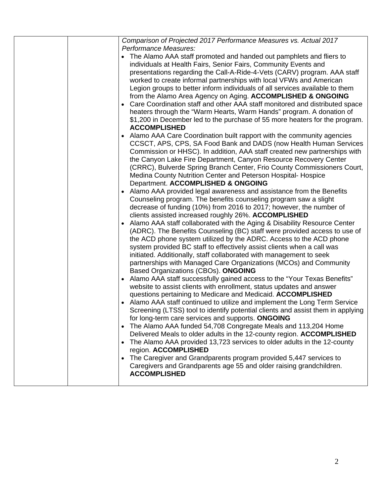|  | Comparison of Projected 2017 Performance Measures vs. Actual 2017                                                                                                                                                                                                                                                                                                                                                                                                                                                                                                                                                                                                                                       |
|--|---------------------------------------------------------------------------------------------------------------------------------------------------------------------------------------------------------------------------------------------------------------------------------------------------------------------------------------------------------------------------------------------------------------------------------------------------------------------------------------------------------------------------------------------------------------------------------------------------------------------------------------------------------------------------------------------------------|
|  | Performance Measures:<br>The Alamo AAA staff promoted and handed out pamphlets and fliers to<br>individuals at Health Fairs, Senior Fairs, Community Events and<br>presentations regarding the Call-A-Ride-4-Vets (CARV) program. AAA staff<br>worked to create informal partnerships with local VFWs and American<br>Legion groups to better inform individuals of all services available to them<br>from the Alamo Area Agency on Aging. ACCOMPLISHED & ONGOING<br>Care Coordination staff and other AAA staff monitored and distributed space<br>heaters through the "Warm Hearts, Warm Hands" program. A donation of<br>\$1,200 in December led to the purchase of 55 more heaters for the program. |
|  | <b>ACCOMPLISHED</b><br>Alamo AAA Care Coordination built rapport with the community agencies<br>CCSCT, APS, CPS, SA Food Bank and DADS (now Health Human Services<br>Commission or HHSC). In addition, AAA staff created new partnerships with<br>the Canyon Lake Fire Department, Canyon Resource Recovery Center<br>(CRRC), Bulverde Spring Branch Center, Frio County Commissioners Court,<br>Medina County Nutrition Center and Peterson Hospital-Hospice<br>Department. ACCOMPLISHED & ONGOING                                                                                                                                                                                                     |
|  | Alamo AAA provided legal awareness and assistance from the Benefits<br>Counseling program. The benefits counseling program saw a slight<br>decrease of funding (10%) from 2016 to 2017; however, the number of<br>clients assisted increased roughly 26%. ACCOMPLISHED                                                                                                                                                                                                                                                                                                                                                                                                                                  |
|  | Alamo AAA staff collaborated with the Aging & Disability Resource Center<br>$\bullet$<br>(ADRC). The Benefits Counseling (BC) staff were provided access to use of<br>the ACD phone system utilized by the ADRC. Access to the ACD phone<br>system provided BC staff to effectively assist clients when a call was<br>initiated. Additionally, staff collaborated with management to seek<br>partnerships with Managed Care Organizations (MCOs) and Community<br>Based Organizations (CBOs). ONGOING                                                                                                                                                                                                   |
|  | "Alamo AAA staff successfully gained access to the "Your Texas Benefits"<br>$\bullet$<br>website to assist clients with enrollment, status updates and answer<br>questions pertaining to Medicare and Medicaid. ACCOMPLISHED<br>Alamo AAA staff continued to utilize and implement the Long Term Service<br>Screening (LTSS) tool to identify potential clients and assist them in applying<br>for long-term care services and supports. ONGOING<br>The Alamo AAA funded 54,708 Congregate Meals and 113,204 Home<br>Delivered Meals to older adults in the 12-county region. ACCOMPLISHED                                                                                                              |
|  | The Alamo AAA provided 13,723 services to older adults in the 12-county<br>region. ACCOMPLISHED<br>The Caregiver and Grandparents program provided 5,447 services to<br>Caregivers and Grandparents age 55 and older raising grandchildren.<br><b>ACCOMPLISHED</b>                                                                                                                                                                                                                                                                                                                                                                                                                                      |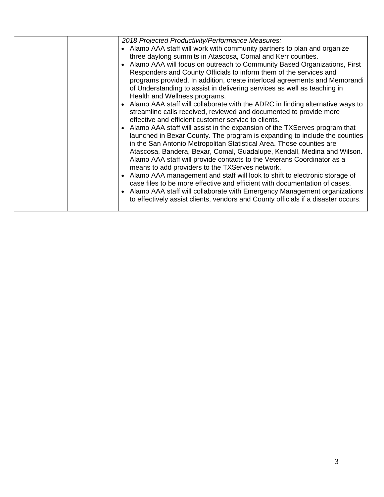|  | 2018 Projected Productivity/Performance Measures:                                     |
|--|---------------------------------------------------------------------------------------|
|  | • Alamo AAA staff will work with community partners to plan and organize              |
|  | three daylong summits in Atascosa, Comal and Kerr counties.                           |
|  | Alamo AAA will focus on outreach to Community Based Organizations, First<br>$\bullet$ |
|  | Responders and County Officials to inform them of the services and                    |
|  | programs provided. In addition, create interlocal agreements and Memorandi            |
|  | of Understanding to assist in delivering services as well as teaching in              |
|  | Health and Wellness programs.                                                         |
|  | • Alamo AAA staff will collaborate with the ADRC in finding alternative ways to       |
|  | streamline calls received, reviewed and documented to provide more                    |
|  | effective and efficient customer service to clients.                                  |
|  | • Alamo AAA staff will assist in the expansion of the TXServes program that           |
|  | launched in Bexar County. The program is expanding to include the counties            |
|  | in the San Antonio Metropolitan Statistical Area. Those counties are                  |
|  | Atascosa, Bandera, Bexar, Comal, Guadalupe, Kendall, Medina and Wilson.               |
|  | Alamo AAA staff will provide contacts to the Veterans Coordinator as a                |
|  | means to add providers to the TXServes network.                                       |
|  | Alamo AAA management and staff will look to shift to electronic storage of            |
|  | case files to be more effective and efficient with documentation of cases.            |
|  | Alamo AAA staff will collaborate with Emergency Management organizations              |
|  | to effectively assist clients, vendors and County officials if a disaster occurs.     |
|  |                                                                                       |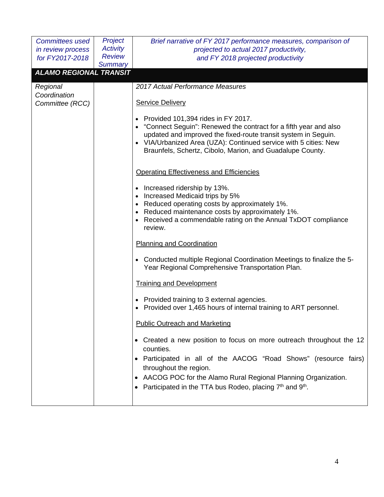| Committees used               | Project         | Brief narrative of FY 2017 performance measures, comparison of                                                                                                                                                                                                                                                                       |  |  |  |
|-------------------------------|-----------------|--------------------------------------------------------------------------------------------------------------------------------------------------------------------------------------------------------------------------------------------------------------------------------------------------------------------------------------|--|--|--|
| in review process             | <b>Activity</b> | projected to actual 2017 productivity,                                                                                                                                                                                                                                                                                               |  |  |  |
| for FY2017-2018               | <b>Review</b>   | and FY 2018 projected productivity                                                                                                                                                                                                                                                                                                   |  |  |  |
| <b>ALAMO REGIONAL TRANSIT</b> | <b>Summary</b>  |                                                                                                                                                                                                                                                                                                                                      |  |  |  |
|                               |                 |                                                                                                                                                                                                                                                                                                                                      |  |  |  |
| Regional<br>Coordination      |                 | 2017 Actual Performance Measures                                                                                                                                                                                                                                                                                                     |  |  |  |
| Committee (RCC)               |                 | <b>Service Delivery</b>                                                                                                                                                                                                                                                                                                              |  |  |  |
|                               |                 | • Provided 101,394 rides in FY 2017.<br>• "Connect Seguin": Renewed the contract for a fifth year and also<br>updated and improved the fixed-route transit system in Seguin.<br>• VIA/Urbanized Area (UZA): Continued service with 5 cities: New<br>Braunfels, Schertz, Cibolo, Marion, and Guadalupe County.                        |  |  |  |
|                               |                 | <b>Operating Effectiveness and Efficiencies</b>                                                                                                                                                                                                                                                                                      |  |  |  |
|                               |                 | Increased ridership by 13%.<br>Increased Medicaid trips by 5%<br>• Reduced operating costs by approximately 1%.<br>Reduced maintenance costs by approximately 1%.<br>Received a commendable rating on the Annual TxDOT compliance<br>review.                                                                                         |  |  |  |
|                               |                 | <b>Planning and Coordination</b>                                                                                                                                                                                                                                                                                                     |  |  |  |
|                               |                 | Conducted multiple Regional Coordination Meetings to finalize the 5-<br>Year Regional Comprehensive Transportation Plan.                                                                                                                                                                                                             |  |  |  |
|                               |                 | <b>Training and Development</b>                                                                                                                                                                                                                                                                                                      |  |  |  |
|                               |                 | • Provided training to 3 external agencies.<br>Provided over 1,465 hours of internal training to ART personnel.                                                                                                                                                                                                                      |  |  |  |
|                               |                 | <b>Public Outreach and Marketing</b>                                                                                                                                                                                                                                                                                                 |  |  |  |
|                               |                 | • Created a new position to focus on more outreach throughout the 12<br>counties.<br>• Participated in all of the AACOG "Road Shows" (resource fairs)<br>throughout the region.<br>AACOG POC for the Alamo Rural Regional Planning Organization.<br>Participated in the TTA bus Rodeo, placing 7 <sup>th</sup> and 9 <sup>th</sup> . |  |  |  |
|                               |                 |                                                                                                                                                                                                                                                                                                                                      |  |  |  |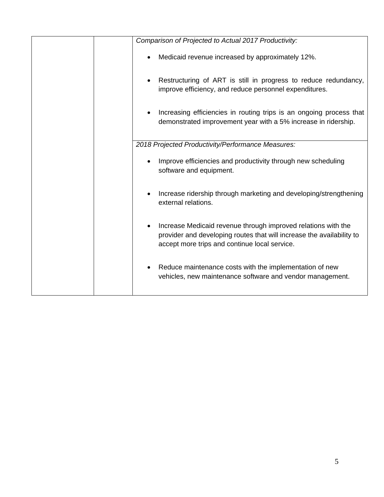| Comparison of Projected to Actual 2017 Productivity:                                                                                                                                    |  |  |
|-----------------------------------------------------------------------------------------------------------------------------------------------------------------------------------------|--|--|
| Medicaid revenue increased by approximately 12%.                                                                                                                                        |  |  |
| Restructuring of ART is still in progress to reduce redundancy,<br>improve efficiency, and reduce personnel expenditures.                                                               |  |  |
| Increasing efficiencies in routing trips is an ongoing process that<br>demonstrated improvement year with a 5% increase in ridership.                                                   |  |  |
| 2018 Projected Productivity/Performance Measures:                                                                                                                                       |  |  |
| Improve efficiencies and productivity through new scheduling<br>software and equipment.                                                                                                 |  |  |
| Increase ridership through marketing and developing/strengthening<br>external relations.                                                                                                |  |  |
| Increase Medicaid revenue through improved relations with the<br>provider and developing routes that will increase the availability to<br>accept more trips and continue local service. |  |  |
| Reduce maintenance costs with the implementation of new<br>vehicles, new maintenance software and vendor management.                                                                    |  |  |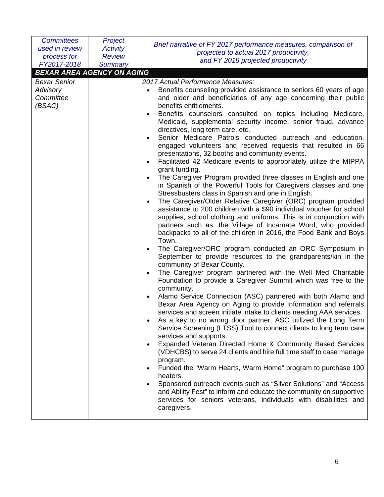| <b>Committees</b><br>used in review | Project<br><b>Activity</b> | Brief narrative of FY 2017 performance measures, comparison of<br>projected to actual 2017 productivity,                             |
|-------------------------------------|----------------------------|--------------------------------------------------------------------------------------------------------------------------------------|
| process for                         | <b>Review</b>              | and FY 2018 projected productivity                                                                                                   |
| FY2017-2018                         | <b>Summary</b>             |                                                                                                                                      |
| <b>BEXAR AREA AGENCY ON AGING</b>   |                            |                                                                                                                                      |
| <b>Bexar Senior</b>                 |                            | 2017 Actual Performance Measures:                                                                                                    |
| Advisory<br>Committee               |                            | Benefits counseling provided assistance to seniors 60 years of age<br>and older and beneficiaries of any age concerning their public |
| (BSAC)                              |                            | benefits entitlements.                                                                                                               |
|                                     |                            | Benefits counselors consulted on topics including Medicare,                                                                          |
|                                     |                            | Medicaid, supplemental security income, senior fraud, advance<br>directives, long term care, etc.                                    |
|                                     |                            | Senior Medicare Patrols conducted outreach and education,                                                                            |
|                                     |                            | engaged volunteers and received requests that resulted in 66<br>presentations, 32 booths and community events.                       |
|                                     |                            | Facilitated 42 Medicare events to appropriately utilize the MIPPA                                                                    |
|                                     |                            | grant funding.<br>The Caregiver Program provided three classes in English and one                                                    |
|                                     |                            | in Spanish of the Powerful Tools for Caregivers classes and one<br>Stressbusters class in Spanish and one in English.                |
|                                     |                            | The Caregiver/Older Relative Caregiver (ORC) program provided                                                                        |
|                                     |                            | assistance to 200 children with a \$90 individual voucher for school                                                                 |
|                                     |                            | supplies, school clothing and uniforms. This is in conjunction with                                                                  |
|                                     |                            | partners such as, the Village of Incarnate Word, who provided                                                                        |
|                                     |                            | backpacks to all of the children in 2016, the Food Bank and Boys<br>Town.                                                            |
|                                     |                            | The Caregiver/ORC program conducted an ORC Symposium in                                                                              |
|                                     |                            | September to provide resources to the grandparents/kin in the<br>community of Bexar County.                                          |
|                                     |                            | The Caregiver program partnered with the Well Med Charitable                                                                         |
|                                     |                            | Foundation to provide a Caregiver Summit which was free to the<br>community.                                                         |
|                                     |                            | Alamo Service Connection (ASC) partnered with both Alamo and                                                                         |
|                                     |                            | Bexar Area Agency on Aging to provide Information and referrals                                                                      |
|                                     |                            | services and screen initiate intake to clients needing AAA services.                                                                 |
|                                     |                            | As a key to no wrong door partner, ASC utilized the Long Term<br>Service Screening (LTSS) Tool to connect clients to long term care  |
|                                     |                            | services and supports.                                                                                                               |
|                                     |                            | Expanded Veteran Directed Home & Community Based Services                                                                            |
|                                     |                            | (VDHCBS) to serve 24 clients and hire full time staff to case manage                                                                 |
|                                     |                            | program.                                                                                                                             |
|                                     |                            | Funded the "Warm Hearts, Warm Home" program to purchase 100                                                                          |
|                                     |                            | heaters.<br>Sponsored outreach events such as "Silver Solutions" and "Access"                                                        |
|                                     |                            | and Ability Fest" to inform and educate the community on supportive                                                                  |
|                                     |                            | services for seniors veterans, individuals with disabilities and                                                                     |
|                                     |                            | caregivers.                                                                                                                          |
|                                     |                            |                                                                                                                                      |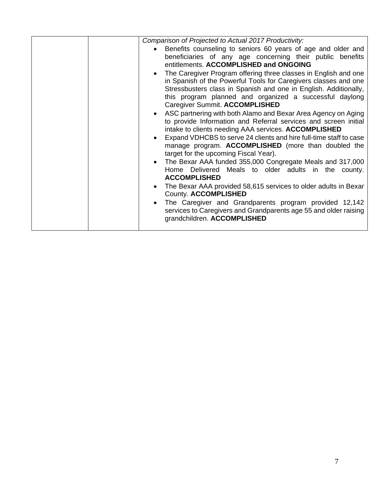| Comparison of Projected to Actual 2017 Productivity:                                                                                                                                                                                                                                                                                                                                                                                                                                                                                                                                                                                                                                                                                                                                                                                                                                                                                                                                                                                                                                                                      |
|---------------------------------------------------------------------------------------------------------------------------------------------------------------------------------------------------------------------------------------------------------------------------------------------------------------------------------------------------------------------------------------------------------------------------------------------------------------------------------------------------------------------------------------------------------------------------------------------------------------------------------------------------------------------------------------------------------------------------------------------------------------------------------------------------------------------------------------------------------------------------------------------------------------------------------------------------------------------------------------------------------------------------------------------------------------------------------------------------------------------------|
| Benefits counseling to seniors 60 years of age and older and<br>$\bullet$<br>beneficiaries of any age concerning their public benefits<br>entitlements. ACCOMPLISHED and ONGOING<br>The Caregiver Program offering three classes in English and one<br>$\bullet$<br>in Spanish of the Powerful Tools for Caregivers classes and one<br>Stressbusters class in Spanish and one in English. Additionally,<br>this program planned and organized a successful daylong<br>Caregiver Summit. ACCOMPLISHED<br>ASC partnering with both Alamo and Bexar Area Agency on Aging<br>to provide Information and Referral services and screen initial<br>intake to clients needing AAA services. ACCOMPLISHED<br>Expand VDHCBS to serve 24 clients and hire full-time staff to case<br>manage program. ACCOMPLISHED (more than doubled the<br>target for the upcoming Fiscal Year).<br>The Bexar AAA funded 355,000 Congregate Meals and 317,000<br>$\bullet$<br>Home Delivered Meals to older adults in the county.<br><b>ACCOMPLISHED</b><br>The Bexar AAA provided 58,615 services to older adults in Bexar<br>County. ACCOMPLISHED |
|                                                                                                                                                                                                                                                                                                                                                                                                                                                                                                                                                                                                                                                                                                                                                                                                                                                                                                                                                                                                                                                                                                                           |
| The Caregiver and Grandparents program provided 12,142<br>services to Caregivers and Grandparents age 55 and older raising<br>grandchildren. ACCOMPLISHED                                                                                                                                                                                                                                                                                                                                                                                                                                                                                                                                                                                                                                                                                                                                                                                                                                                                                                                                                                 |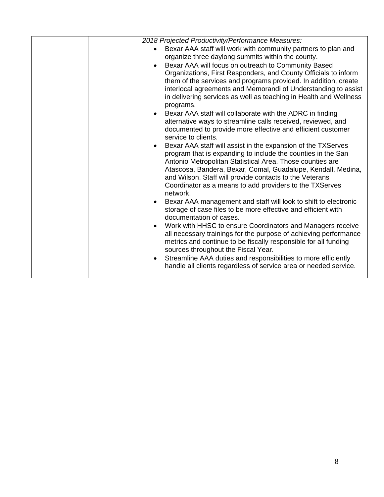| 2018 Projected Productivity/Performance Measures:<br>Bexar AAA staff will work with community partners to plan and<br>$\bullet$<br>organize three daylong summits within the county.<br>Bexar AAA will focus on outreach to Community Based<br>$\bullet$<br>Organizations, First Responders, and County Officials to inform<br>them of the services and programs provided. In addition, create<br>interlocal agreements and Memorandi of Understanding to assist                                                                                                                                                                                                                                                                                                                                                                                                                                                                                                                                                                                                                                                                                                |  |
|-----------------------------------------------------------------------------------------------------------------------------------------------------------------------------------------------------------------------------------------------------------------------------------------------------------------------------------------------------------------------------------------------------------------------------------------------------------------------------------------------------------------------------------------------------------------------------------------------------------------------------------------------------------------------------------------------------------------------------------------------------------------------------------------------------------------------------------------------------------------------------------------------------------------------------------------------------------------------------------------------------------------------------------------------------------------------------------------------------------------------------------------------------------------|--|
| in delivering services as well as teaching in Health and Wellness<br>programs.<br>Bexar AAA staff will collaborate with the ADRC in finding<br>$\bullet$<br>alternative ways to streamline calls received, reviewed, and<br>documented to provide more effective and efficient customer<br>service to clients.<br>Bexar AAA staff will assist in the expansion of the TXServes<br>$\bullet$<br>program that is expanding to include the counties in the San<br>Antonio Metropolitan Statistical Area. Those counties are<br>Atascosa, Bandera, Bexar, Comal, Guadalupe, Kendall, Medina,<br>and Wilson. Staff will provide contacts to the Veterans<br>Coordinator as a means to add providers to the TXServes<br>network.<br>Bexar AAA management and staff will look to shift to electronic<br>$\bullet$<br>storage of case files to be more effective and efficient with<br>documentation of cases.<br>Work with HHSC to ensure Coordinators and Managers receive<br>all necessary trainings for the purpose of achieving performance<br>metrics and continue to be fiscally responsible for all funding<br>sources throughout the Fiscal Year.<br>$\bullet$ |  |
| Streamline AAA duties and responsibilities to more efficiently<br>handle all clients regardless of service area or needed service.                                                                                                                                                                                                                                                                                                                                                                                                                                                                                                                                                                                                                                                                                                                                                                                                                                                                                                                                                                                                                              |  |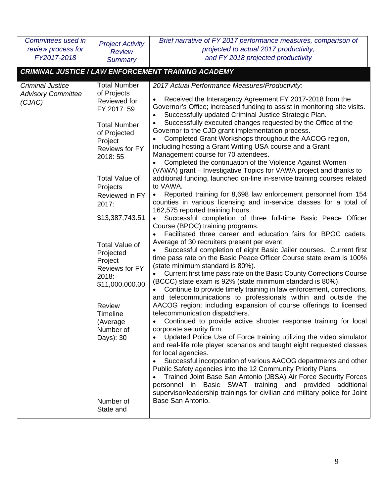| Committees used in        |                            | Brief narrative of FY 2017 performance measures, comparison of                                          |
|---------------------------|----------------------------|---------------------------------------------------------------------------------------------------------|
| review process for        | <b>Project Activity</b>    | projected to actual 2017 productivity,                                                                  |
| FY2017-2018               | <b>Review</b>              | and FY 2018 projected productivity                                                                      |
|                           | <b>Summary</b>             |                                                                                                         |
|                           |                            | <b>CRIMINAL JUSTICE / LAW ENFORCEMENT TRAINING ACADEMY</b>                                              |
| <b>Criminal Justice</b>   | <b>Total Number</b>        | 2017 Actual Performance Measures/Productivity:                                                          |
| <b>Advisory Committee</b> | of Projects                | Received the Interagency Agreement FY 2017-2018 from the                                                |
| (CJAC)                    | Reviewed for               | Governor's Office; increased funding to assist in monitoring site visits.                               |
|                           | FY 2017: 59                | Successfully updated Criminal Justice Strategic Plan.                                                   |
|                           | <b>Total Number</b>        | Successfully executed changes requested by the Office of the                                            |
|                           | of Projected               | Governor to the CJD grant implementation process.                                                       |
|                           | Project                    | Completed Grant Workshops throughout the AACOG region,                                                  |
|                           | <b>Reviews for FY</b>      | including hosting a Grant Writing USA course and a Grant                                                |
|                           | 2018: 55                   | Management course for 70 attendees.                                                                     |
|                           |                            | Completed the continuation of the Violence Against Women                                                |
|                           |                            | (VAWA) grant – Investigative Topics for VAWA project and thanks to                                      |
|                           | <b>Total Value of</b>      | additional funding, launched on-line in-service training courses related<br>to VAWA.                    |
|                           | Projects<br>Reviewed in FY | Reported training for 8,698 law enforcement personnel from 154                                          |
|                           | 2017:                      | counties in various licensing and in-service classes for a total of                                     |
|                           |                            | 162,575 reported training hours.                                                                        |
|                           | \$13,387,743.51            | Successful completion of three full-time Basic Peace Officer                                            |
|                           |                            | Course (BPOC) training programs.                                                                        |
|                           |                            | Facilitated three career and education fairs for BPOC cadets.                                           |
|                           | <b>Total Value of</b>      | Average of 30 recruiters present per event.                                                             |
|                           | Projected                  | Successful completion of eight Basic Jailer courses. Current first                                      |
|                           | Project                    | time pass rate on the Basic Peace Officer Course state exam is 100%<br>(state minimum standard is 80%). |
|                           | <b>Reviews for FY</b>      | Current first time pass rate on the Basic County Corrections Course                                     |
|                           | 2018:                      | (BCCC) state exam is 92% (state minimum standard is 80%).                                               |
|                           | \$11,000,000.00            | Continue to provide timely training in law enforcement, corrections,                                    |
|                           |                            | and telecommunications to professionals within and outside the                                          |
|                           | <b>Review</b>              | AACOG region; including expansion of course offerings to licensed                                       |
|                           | Timeline                   | telecommunication dispatchers.                                                                          |
|                           | (Average                   | Continued to provide active shooter response training for local                                         |
|                           | Number of                  | corporate security firm.                                                                                |
|                           | Days): 30                  | Updated Police Use of Force training utilizing the video simulator                                      |
|                           |                            | and real-life role player scenarios and taught eight requested classes                                  |
|                           |                            | for local agencies.<br>Successful incorporation of various AACOG departments and other                  |
|                           |                            | Public Safety agencies into the 12 Community Priority Plans.                                            |
|                           |                            | Trained Joint Base San Antonio (JBSA) Air Force Security Forces<br>$\bullet$                            |
|                           |                            | personnel in Basic SWAT training and provided additional                                                |
|                           |                            | supervisor/leadership trainings for civilian and military police for Joint                              |
|                           | Number of                  | Base San Antonio.                                                                                       |
|                           | State and                  |                                                                                                         |
|                           |                            |                                                                                                         |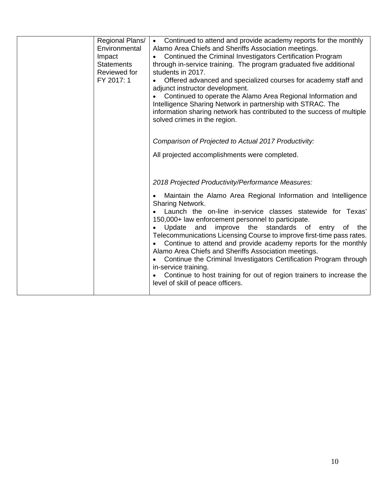| Impact<br><b>Statements</b><br>Reviewed for<br>FY 2017: 1 | Regional Plans/<br>Environmental | • Continued to attend and provide academy reports for the monthly<br>Alamo Area Chiefs and Sheriffs Association meetings.<br>Continued the Criminal Investigators Certification Program<br>through in-service training. The program graduated five additional<br>students in 2017.<br>Offered advanced and specialized courses for academy staff and<br>adjunct instructor development.<br>Continued to operate the Alamo Area Regional Information and<br>Intelligence Sharing Network in partnership with STRAC. The<br>information sharing network has contributed to the success of multiple<br>solved crimes in the region.<br>Comparison of Projected to Actual 2017 Productivity:<br>All projected accomplishments were completed.   |
|-----------------------------------------------------------|----------------------------------|---------------------------------------------------------------------------------------------------------------------------------------------------------------------------------------------------------------------------------------------------------------------------------------------------------------------------------------------------------------------------------------------------------------------------------------------------------------------------------------------------------------------------------------------------------------------------------------------------------------------------------------------------------------------------------------------------------------------------------------------|
|                                                           |                                  | 2018 Projected Productivity/Performance Measures:<br>Maintain the Alamo Area Regional Information and Intelligence<br><b>Sharing Network.</b><br>Launch the on-line in-service classes statewide for Texas'<br>150,000+ law enforcement personnel to participate.<br>improve the standards of entry of<br>Update<br>and<br>the<br>Telecommunications Licensing Course to improve first-time pass rates.<br>Continue to attend and provide academy reports for the monthly<br>Alamo Area Chiefs and Sheriffs Association meetings.<br>Continue the Criminal Investigators Certification Program through<br>in-service training.<br>Continue to host training for out of region trainers to increase the<br>level of skill of peace officers. |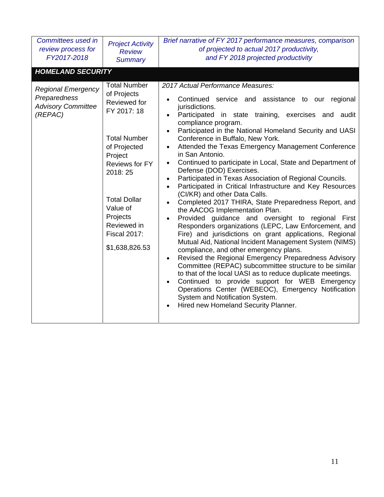| Committees used in<br>review process for<br>FY2017-2018                           | <b>Project Activity</b><br><b>Review</b><br><b>Summary</b>                                                                                                                                                                                              | Brief narrative of FY 2017 performance measures, comparison<br>of projected to actual 2017 productivity,<br>and FY 2018 projected productivity                                                                                                                                                                                                                                                                                                                                                                                                                                                                                                                                                                                                                                                                                                                                                                                                                                                                                                                                                                                                                                                                                                                                                                                                                                                                |
|-----------------------------------------------------------------------------------|---------------------------------------------------------------------------------------------------------------------------------------------------------------------------------------------------------------------------------------------------------|---------------------------------------------------------------------------------------------------------------------------------------------------------------------------------------------------------------------------------------------------------------------------------------------------------------------------------------------------------------------------------------------------------------------------------------------------------------------------------------------------------------------------------------------------------------------------------------------------------------------------------------------------------------------------------------------------------------------------------------------------------------------------------------------------------------------------------------------------------------------------------------------------------------------------------------------------------------------------------------------------------------------------------------------------------------------------------------------------------------------------------------------------------------------------------------------------------------------------------------------------------------------------------------------------------------------------------------------------------------------------------------------------------------|
| <b>HOMELAND SECURITY</b>                                                          |                                                                                                                                                                                                                                                         |                                                                                                                                                                                                                                                                                                                                                                                                                                                                                                                                                                                                                                                                                                                                                                                                                                                                                                                                                                                                                                                                                                                                                                                                                                                                                                                                                                                                               |
| <b>Regional Emergency</b><br>Preparedness<br><b>Advisory Committee</b><br>(REPAC) | <b>Total Number</b><br>of Projects<br>Reviewed for<br>FY 2017: 18<br><b>Total Number</b><br>of Projected<br>Project<br>Reviews for FY<br>2018:25<br><b>Total Dollar</b><br>Value of<br>Projects<br>Reviewed in<br><b>Fiscal 2017:</b><br>\$1,638,826.53 | 2017 Actual Performance Measures:<br>Continued service and assistance to our regional<br>jurisdictions.<br>Participated in state training, exercises and audit<br>compliance program.<br>Participated in the National Homeland Security and UASI<br>Conference in Buffalo, New York.<br>Attended the Texas Emergency Management Conference<br>$\bullet$<br>in San Antonio.<br>Continued to participate in Local, State and Department of<br>$\bullet$<br>Defense (DOD) Exercises.<br>Participated in Texas Association of Regional Councils.<br>Participated in Critical Infrastructure and Key Resources<br>$\bullet$<br>(CI/KR) and other Data Calls.<br>Completed 2017 THIRA, State Preparedness Report, and<br>the AACOG Implementation Plan.<br>Provided guidance and oversight to regional First<br>Responders organizations (LEPC, Law Enforcement, and<br>Fire) and jurisdictions on grant applications, Regional<br>Mutual Aid, National Incident Management System (NIMS)<br>compliance, and other emergency plans.<br>Revised the Regional Emergency Preparedness Advisory<br>$\bullet$<br>Committee (REPAC) subcommittee structure to be similar<br>to that of the local UASI as to reduce duplicate meetings.<br>Continued to provide support for WEB Emergency<br>Operations Center (WEBEOC), Emergency Notification<br>System and Notification System.<br>Hired new Homeland Security Planner. |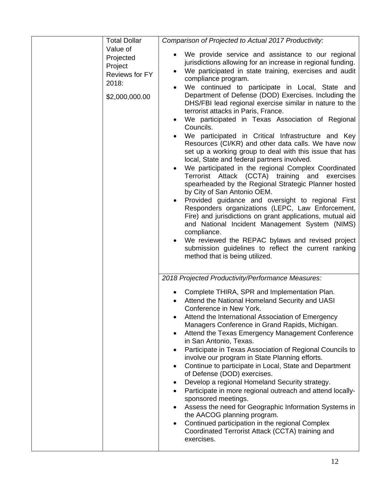| <b>Total Dollar</b>                                                           | Comparison of Projected to Actual 2017 Productivity:                                                                                                                                                                                                                                                                                                                                                                                                                                                                                                                                                                                                                                                                                                                                                                                                                                                                                                                                                                                                                                                                                                                                                                                                                                                                                                         |
|-------------------------------------------------------------------------------|--------------------------------------------------------------------------------------------------------------------------------------------------------------------------------------------------------------------------------------------------------------------------------------------------------------------------------------------------------------------------------------------------------------------------------------------------------------------------------------------------------------------------------------------------------------------------------------------------------------------------------------------------------------------------------------------------------------------------------------------------------------------------------------------------------------------------------------------------------------------------------------------------------------------------------------------------------------------------------------------------------------------------------------------------------------------------------------------------------------------------------------------------------------------------------------------------------------------------------------------------------------------------------------------------------------------------------------------------------------|
| Value of<br>Projected<br>Project<br>Reviews for FY<br>2018:<br>\$2,000,000.00 | We provide service and assistance to our regional<br>$\bullet$<br>jurisdictions allowing for an increase in regional funding.<br>We participated in state training, exercises and audit<br>compliance program.<br>We continued to participate in Local, State and<br>$\bullet$<br>Department of Defense (DOD) Exercises. Including the<br>DHS/FBI lead regional exercise similar in nature to the<br>terrorist attacks in Paris, France.<br>We participated in Texas Association of Regional<br>$\bullet$<br>Councils.<br>We participated in Critical Infrastructure and Key<br>Resources (CI/KR) and other data calls. We have now<br>set up a working group to deal with this issue that has<br>local, State and federal partners involved.<br>We participated in the regional Complex Coordinated<br>$\bullet$<br>Terrorist Attack (CCTA) training and exercises<br>spearheaded by the Regional Strategic Planner hosted<br>by City of San Antonio OEM.<br>Provided guidance and oversight to regional First<br>$\bullet$<br>Responders organizations (LEPC, Law Enforcement,<br>Fire) and jurisdictions on grant applications, mutual aid<br>and National Incident Management System (NIMS)<br>compliance.<br>We reviewed the REPAC bylaws and revised project<br>submission guidelines to reflect the current ranking<br>method that is being utilized. |
|                                                                               | 2018 Projected Productivity/Performance Measures:<br>Complete THIRA, SPR and Implementation Plan.<br>Attend the National Homeland Security and UASI<br>Conference in New York.<br>Attend the International Association of Emergency<br>Managers Conference in Grand Rapids, Michigan.<br>Attend the Texas Emergency Management Conference<br>$\bullet$<br>in San Antonio, Texas.<br>Participate in Texas Association of Regional Councils to<br>$\bullet$<br>involve our program in State Planning efforts.<br>Continue to participate in Local, State and Department<br>$\bullet$<br>of Defense (DOD) exercises.<br>Develop a regional Homeland Security strategy.<br>$\bullet$<br>Participate in more regional outreach and attend locally-<br>$\bullet$<br>sponsored meetings.<br>Assess the need for Geographic Information Systems in<br>٠<br>the AACOG planning program.<br>Continued participation in the regional Complex<br>$\bullet$<br>Coordinated Terrorist Attack (CCTA) training and<br>exercises.                                                                                                                                                                                                                                                                                                                                             |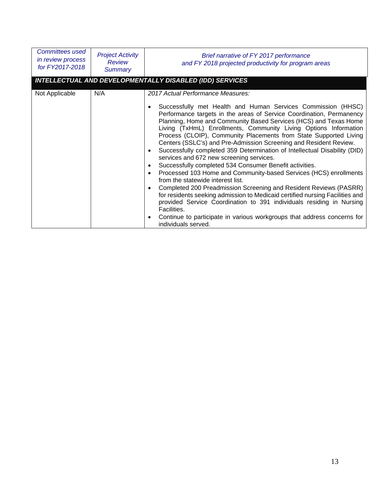| <b>Committees used</b><br>in review process<br>for FY2017-2018 | <b>Project Activity</b><br>Review<br>Summary | Brief narrative of FY 2017 performance<br>and FY 2018 projected productivity for program areas                                                                                                                                                                                                                                                                                                                                                                                                                                                                                                                                                                                                                                                                                                                                                                                                                                                                                                                                                                                                                                                              |
|----------------------------------------------------------------|----------------------------------------------|-------------------------------------------------------------------------------------------------------------------------------------------------------------------------------------------------------------------------------------------------------------------------------------------------------------------------------------------------------------------------------------------------------------------------------------------------------------------------------------------------------------------------------------------------------------------------------------------------------------------------------------------------------------------------------------------------------------------------------------------------------------------------------------------------------------------------------------------------------------------------------------------------------------------------------------------------------------------------------------------------------------------------------------------------------------------------------------------------------------------------------------------------------------|
|                                                                |                                              | <b>INTELLECTUAL AND DEVELOPMENTALLY DISABLED (IDD) SERVICES</b>                                                                                                                                                                                                                                                                                                                                                                                                                                                                                                                                                                                                                                                                                                                                                                                                                                                                                                                                                                                                                                                                                             |
| Not Applicable                                                 | N/A                                          | 2017 Actual Performance Measures:<br>Successfully met Health and Human Services Commission (HHSC)<br>Performance targets in the areas of Service Coordination, Permanency<br>Planning, Home and Community Based Services (HCS) and Texas Home<br>Living (TxHmL) Enrollments, Community Living Options Information<br>Process (CLOIP), Community Placements from State Supported Living<br>Centers (SSLC's) and Pre-Admission Screening and Resident Review.<br>Successfully completed 359 Determination of Intellectual Disability (DID)<br>$\bullet$<br>services and 672 new screening services.<br>Successfully completed 534 Consumer Benefit activities.<br>$\bullet$<br>Processed 103 Home and Community-based Services (HCS) enrollments<br>$\bullet$<br>from the statewide interest list.<br>Completed 200 Preadmission Screening and Resident Reviews (PASRR)<br>$\bullet$<br>for residents seeking admission to Medicaid certified nursing Facilities and<br>provided Service Coordination to 391 individuals residing in Nursing<br>Facilities.<br>Continue to participate in various workgroups that address concerns for<br>individuals served. |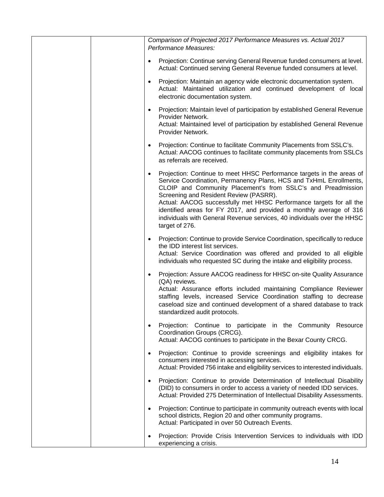| Comparison of Projected 2017 Performance Measures vs. Actual 2017<br>Performance Measures:                                                                                                                                                                                                                                                                                                                                                                                                       |
|--------------------------------------------------------------------------------------------------------------------------------------------------------------------------------------------------------------------------------------------------------------------------------------------------------------------------------------------------------------------------------------------------------------------------------------------------------------------------------------------------|
| Projection: Continue serving General Revenue funded consumers at level.<br>$\bullet$<br>Actual: Continued serving General Revenue funded consumers at level.                                                                                                                                                                                                                                                                                                                                     |
| Projection: Maintain an agency wide electronic documentation system.<br>$\bullet$<br>Actual: Maintained utilization and continued development of local<br>electronic documentation system.                                                                                                                                                                                                                                                                                                       |
| Projection: Maintain level of participation by established General Revenue<br>$\bullet$<br>Provider Network.<br>Actual: Maintained level of participation by established General Revenue<br>Provider Network.                                                                                                                                                                                                                                                                                    |
| Projection: Continue to facilitate Community Placements from SSLC's.<br>Actual: AACOG continues to facilitate community placements from SSLCs<br>as referrals are received.                                                                                                                                                                                                                                                                                                                      |
| Projection: Continue to meet HHSC Performance targets in the areas of<br>Service Coordination, Permanency Plans, HCS and TxHmL Enrollments,<br>CLOIP and Community Placement's from SSLC's and Preadmission<br>Screening and Resident Review (PASRR).<br>Actual: AACOG successfully met HHSC Performance targets for all the<br>identified areas for FY 2017, and provided a monthly average of 316<br>individuals with General Revenue services, 40 individuals over the HHSC<br>target of 276. |
| Projection: Continue to provide Service Coordination, specifically to reduce<br>$\bullet$<br>the IDD interest list services.<br>Actual: Service Coordination was offered and provided to all eligible<br>individuals who requested SC during the intake and eligibility process.                                                                                                                                                                                                                 |
| Projection: Assure AACOG readiness for HHSC on-site Quality Assurance<br>٠<br>(QA) reviews.<br>Actual: Assurance efforts included maintaining Compliance Reviewer<br>staffing levels, increased Service Coordination staffing to decrease<br>caseload size and continued development of a shared database to track<br>standardized audit protocols.                                                                                                                                              |
| Projection: Continue to participate in the Community Resource<br>Coordination Groups (CRCG).<br>Actual: AACOG continues to participate in the Bexar County CRCG.                                                                                                                                                                                                                                                                                                                                 |
| Projection: Continue to provide screenings and eligibility intakes for<br>$\bullet$<br>consumers interested in accessing services.<br>Actual: Provided 756 intake and eligibility services to interested individuals.                                                                                                                                                                                                                                                                            |
| Projection: Continue to provide Determination of Intellectual Disability<br>٠<br>(DID) to consumers in order to access a variety of needed IDD services.<br>Actual: Provided 275 Determination of Intellectual Disability Assessments.                                                                                                                                                                                                                                                           |
| Projection: Continue to participate in community outreach events with local<br>school districts, Region 20 and other community programs.<br>Actual: Participated in over 50 Outreach Events.                                                                                                                                                                                                                                                                                                     |
| Projection: Provide Crisis Intervention Services to individuals with IDD<br>experiencing a crisis.                                                                                                                                                                                                                                                                                                                                                                                               |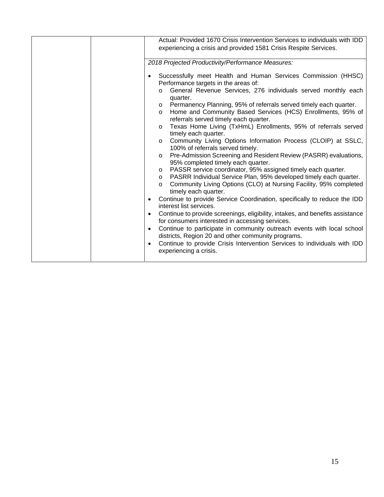|  | Actual: Provided 1670 Crisis Intervention Services to individuals with IDD<br>experiencing a crisis and provided 1581 Crisis Respite Services.                                                                                                                                                                                                                                                                                                                                                                                                                                                                                                                                                                                                                                                                                                                                                                                                                                                                                                                                                                                                                                                                                                                                                                                                                                                                                                                                                                           |
|--|--------------------------------------------------------------------------------------------------------------------------------------------------------------------------------------------------------------------------------------------------------------------------------------------------------------------------------------------------------------------------------------------------------------------------------------------------------------------------------------------------------------------------------------------------------------------------------------------------------------------------------------------------------------------------------------------------------------------------------------------------------------------------------------------------------------------------------------------------------------------------------------------------------------------------------------------------------------------------------------------------------------------------------------------------------------------------------------------------------------------------------------------------------------------------------------------------------------------------------------------------------------------------------------------------------------------------------------------------------------------------------------------------------------------------------------------------------------------------------------------------------------------------|
|  | 2018 Projected Productivity/Performance Measures:                                                                                                                                                                                                                                                                                                                                                                                                                                                                                                                                                                                                                                                                                                                                                                                                                                                                                                                                                                                                                                                                                                                                                                                                                                                                                                                                                                                                                                                                        |
|  | Successfully meet Health and Human Services Commission (HHSC)<br>Performance targets in the areas of:<br>General Revenue Services, 276 individuals served monthly each<br>$\circ$<br>quarter.<br>Permanency Planning, 95% of referrals served timely each quarter.<br>$\circ$<br>Home and Community Based Services (HCS) Enrollments, 95% of<br>$\circ$<br>referrals served timely each quarter.<br>Texas Home Living (TxHmL) Enrollments, 95% of referrals served<br>$\circ$<br>timely each quarter.<br>Community Living Options Information Process (CLOIP) at SSLC,<br>$\circ$<br>100% of referrals served timely.<br>Pre-Admission Screening and Resident Review (PASRR) evaluations,<br>$\circ$<br>95% completed timely each quarter.<br>PASSR service coordinator, 95% assigned timely each quarter.<br>$\circ$<br>PASRR Individual Service Plan, 95% developed timely each quarter.<br>$\circ$<br>Community Living Options (CLO) at Nursing Facility, 95% completed<br>$\circ$<br>timely each quarter.<br>Continue to provide Service Coordination, specifically to reduce the IDD<br>interest list services.<br>Continue to provide screenings, eligibility, intakes, and benefits assistance<br>$\bullet$<br>for consumers interested in accessing services.<br>Continue to participate in community outreach events with local school<br>$\bullet$<br>districts, Region 20 and other community programs.<br>Continue to provide Crisis Intervention Services to individuals with IDD<br>experiencing a crisis. |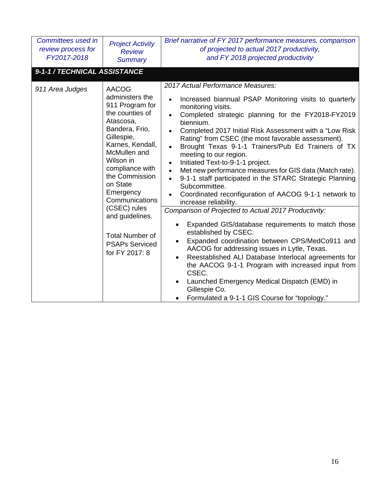| Committees used in<br>review process for<br>FY2017-2018 | <b>Project Activity</b><br><b>Review</b><br><b>Summary</b>                                                                                                                                                                                                                                                                                                  | Brief narrative of FY 2017 performance measures, comparison<br>of projected to actual 2017 productivity,<br>and FY 2018 projected productivity                                                                                                                                                                                                                                                                                                                                                                                                                                                                                                                                                                                                                                                                                                                                                                                                                                                                                                                                                                                                                                                                    |
|---------------------------------------------------------|-------------------------------------------------------------------------------------------------------------------------------------------------------------------------------------------------------------------------------------------------------------------------------------------------------------------------------------------------------------|-------------------------------------------------------------------------------------------------------------------------------------------------------------------------------------------------------------------------------------------------------------------------------------------------------------------------------------------------------------------------------------------------------------------------------------------------------------------------------------------------------------------------------------------------------------------------------------------------------------------------------------------------------------------------------------------------------------------------------------------------------------------------------------------------------------------------------------------------------------------------------------------------------------------------------------------------------------------------------------------------------------------------------------------------------------------------------------------------------------------------------------------------------------------------------------------------------------------|
| 9-1-1 / TECHNICAL ASSISTANCE                            |                                                                                                                                                                                                                                                                                                                                                             |                                                                                                                                                                                                                                                                                                                                                                                                                                                                                                                                                                                                                                                                                                                                                                                                                                                                                                                                                                                                                                                                                                                                                                                                                   |
| 911 Area Judges                                         | <b>AACOG</b><br>administers the<br>911 Program for<br>the counties of<br>Atascosa,<br>Bandera, Frio,<br>Gillespie,<br>Karnes, Kendall,<br>McMullen and<br>Wilson in<br>compliance with<br>the Commission<br>on State<br>Emergency<br>Communications<br>(CSEC) rules<br>and guidelines.<br><b>Total Number of</b><br><b>PSAPs Serviced</b><br>for FY 2017: 8 | 2017 Actual Performance Measures:<br>Increased biannual PSAP Monitoring visits to quarterly<br>$\bullet$<br>monitoring visits.<br>Completed strategic planning for the FY2018-FY2019<br>$\bullet$<br>biennium.<br>Completed 2017 Initial Risk Assessment with a "Low Risk"<br>Rating" from CSEC (the most favorable assessment).<br>Brought Texas 9-1-1 Trainers/Pub Ed Trainers of TX<br>$\bullet$<br>meeting to our region.<br>Initiated Text-to-9-1-1 project.<br>$\bullet$<br>Met new performance measures for GIS data (Match rate).<br>$\bullet$<br>9-1-1 staff participated in the STARC Strategic Planning<br>$\bullet$<br>Subcommittee.<br>Coordinated reconfiguration of AACOG 9-1-1 network to<br>increase reliability.<br>Comparison of Projected to Actual 2017 Productivity:<br>Expanded GIS/database requirements to match those<br>established by CSEC.<br>Expanded coordination between CPS/MedCo911 and<br>AACOG for addressing issues in Lytle, Texas.<br>Reestablished ALI Database Interlocal agreements for<br>the AACOG 9-1-1 Program with increased input from<br>CSEC.<br>Launched Emergency Medical Dispatch (EMD) in<br>Gillespie Co.<br>Formulated a 9-1-1 GIS Course for "topology." |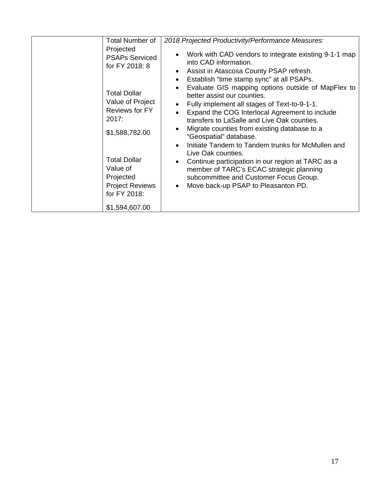| Total Number of                                                                                                                                                                | 2018 Projected Productivity/Performance Measures:                                                                                                                                                                                                                                                                                                                                                                                                                                                                                                                                      |
|--------------------------------------------------------------------------------------------------------------------------------------------------------------------------------|----------------------------------------------------------------------------------------------------------------------------------------------------------------------------------------------------------------------------------------------------------------------------------------------------------------------------------------------------------------------------------------------------------------------------------------------------------------------------------------------------------------------------------------------------------------------------------------|
| Projected<br><b>PSAPs Serviced</b><br>for FY 2018: 8                                                                                                                           | Work with CAD vendors to integrate existing 9-1-1 map<br>into CAD information.<br>Assist in Atascosa County PSAP refresh.<br>Establish "time stamp sync" at all PSAPs.                                                                                                                                                                                                                                                                                                                                                                                                                 |
| <b>Total Dollar</b><br>Value of Project<br>Reviews for FY<br>2017:<br>\$1,588,782.00<br><b>Total Dollar</b><br>Value of<br>Projected<br><b>Project Reviews</b><br>for FY 2018: | Evaluate GIS mapping options outside of MapFlex to<br>$\bullet$<br>better assist our counties.<br>Fully implement all stages of Text-to-9-1-1.<br>Expand the COG Interlocal Agreement to include<br>transfers to LaSalle and Live Oak counties.<br>Migrate counties from existing database to a<br>"Geospatial" database.<br>Initiate Tandem to Tandem trunks for McMullen and<br>Live Oak counties.<br>Continue participation in our region at TARC as a<br>member of TARC's ECAC strategic planning<br>subcommittee and Customer Focus Group.<br>Move back-up PSAP to Pleasanton PD. |
| \$1,594,607.00                                                                                                                                                                 |                                                                                                                                                                                                                                                                                                                                                                                                                                                                                                                                                                                        |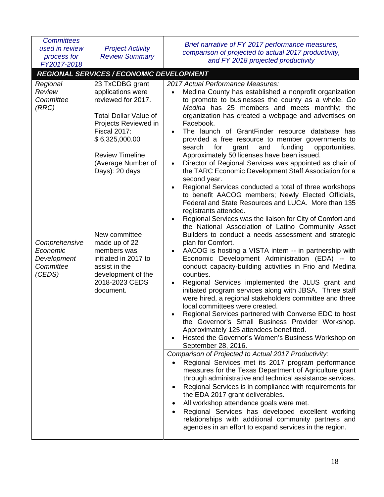| <b>Committees</b><br>used in review<br>process for<br>FY2017-2018 | <b>Project Activity</b><br><b>Review Summary</b>                                                                                                                                                                              | Brief narrative of FY 2017 performance measures,<br>comparison of projected to actual 2017 productivity,<br>and FY 2018 projected productivity                                                                                                                                                                                                                                                                                                                                                                                                                                                                                                                                                                                                                                                                                                                                                                                                                                                                                                                                                                                                                                                                                                                                            |
|-------------------------------------------------------------------|-------------------------------------------------------------------------------------------------------------------------------------------------------------------------------------------------------------------------------|-------------------------------------------------------------------------------------------------------------------------------------------------------------------------------------------------------------------------------------------------------------------------------------------------------------------------------------------------------------------------------------------------------------------------------------------------------------------------------------------------------------------------------------------------------------------------------------------------------------------------------------------------------------------------------------------------------------------------------------------------------------------------------------------------------------------------------------------------------------------------------------------------------------------------------------------------------------------------------------------------------------------------------------------------------------------------------------------------------------------------------------------------------------------------------------------------------------------------------------------------------------------------------------------|
|                                                                   | <b>REGIONAL SERVICES / ECONOMIC DEVELOPMENT</b>                                                                                                                                                                               |                                                                                                                                                                                                                                                                                                                                                                                                                                                                                                                                                                                                                                                                                                                                                                                                                                                                                                                                                                                                                                                                                                                                                                                                                                                                                           |
| Regional<br>Review<br>Committee<br>(RRC)                          | 23 TxCDBG grant<br>applications were<br>reviewed for 2017.<br><b>Total Dollar Value of</b><br>Projects Reviewed in<br><b>Fiscal 2017:</b><br>\$6,325,000.00<br><b>Review Timeline</b><br>(Average Number of<br>Days): 20 days | 2017 Actual Performance Measures:<br>Medina County has established a nonprofit organization<br>to promote to businesses the county as a whole. Go<br>Medina has 25 members and meets monthly; the<br>organization has created a webpage and advertises on<br>Facebook.<br>The launch of GrantFinder resource database has<br>$\bullet$<br>provided a free resource to member governments to<br>search<br>funding<br>for<br>grant<br>and<br>opportunities.<br>Approximately 50 licenses have been issued.<br>Director of Regional Services was appointed as chair of<br>$\bullet$<br>the TARC Economic Development Staff Association for a<br>second year.<br>Regional Services conducted a total of three workshops<br>to benefit AACOG members; Newly Elected Officials,<br>Federal and State Resources and LUCA. More than 135<br>registrants attended.<br>Regional Services was the liaison for City of Comfort and<br>$\bullet$<br>the National Association of Latino Community Asset                                                                                                                                                                                                                                                                                                 |
| Comprehensive<br>Economic<br>Development<br>Committee<br>(CEDS)   | New committee<br>made up of 22<br>members was<br>initiated in 2017 to<br>assist in the<br>development of the<br>2018-2023 CEDS<br>document.                                                                                   | Builders to conduct a needs assessment and strategic<br>plan for Comfort.<br>AACOG is hosting a VISTA intern -- in partnership with<br>Economic Development Administration (EDA) -- to<br>conduct capacity-building activities in Frio and Medina<br>counties.<br>Regional Services implemented the JLUS grant and<br>$\bullet$<br>initiated program services along with JBSA. Three staff<br>were hired, a regional stakeholders committee and three<br>local committees were created.<br>Regional Services partnered with Converse EDC to host<br>the Governor's Small Business Provider Workshop.<br>Approximately 125 attendees benefitted.<br>Hosted the Governor's Women's Business Workshop on<br>September 28, 2016.<br>Comparison of Projected to Actual 2017 Productivity:<br>Regional Services met its 2017 program performance<br>measures for the Texas Department of Agriculture grant<br>through administrative and technical assistance services.<br>Regional Services is in compliance with requirements for<br>the EDA 2017 grant deliverables.<br>All workshop attendance goals were met.<br>Regional Services has developed excellent working<br>٠<br>relationships with additional community partners and<br>agencies in an effort to expand services in the region. |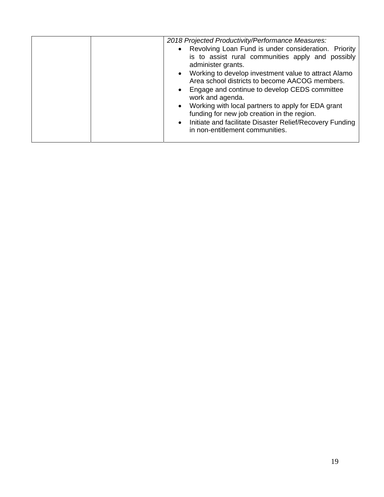|  | 2018 Projected Productivity/Performance Measures:<br>• Revolving Loan Fund is under consideration. Priority<br>is to assist rural communities apply and possibly                                                                                                                                                                                                                                              |
|--|---------------------------------------------------------------------------------------------------------------------------------------------------------------------------------------------------------------------------------------------------------------------------------------------------------------------------------------------------------------------------------------------------------------|
|  | administer grants.<br>• Working to develop investment value to attract Alamo<br>Area school districts to become AACOG members.<br>• Engage and continue to develop CEDS committee<br>work and agenda.<br>• Working with local partners to apply for EDA grant<br>funding for new job creation in the region.<br>• Initiate and facilitate Disaster Relief/Recovery Funding<br>in non-entitlement communities. |
|  |                                                                                                                                                                                                                                                                                                                                                                                                               |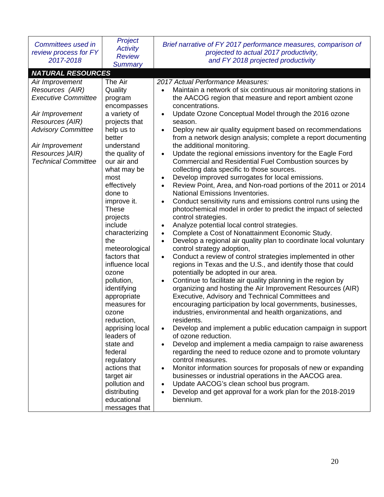| Committees used in<br>review process for FY<br>2017-2018                                                                                                                                                | Project<br><b>Activity</b><br><b>Review</b><br><b>Summary</b>                                                                                                                                                                                                                                                                                                                                                                                                                                                                                               | Brief narrative of FY 2017 performance measures, comparison of<br>projected to actual 2017 productivity,<br>and FY 2018 projected productivity                                                                                                                                                                                                                                                                                                                                                                                                                                                                                                                                                                                                                                                                                                                                                                                                                                                                                                                                                                                                                                                                                                                                                                                                                                                                                                                                                                                                                                                                                                                                                                                                                                                                                                                                                                                                                                                                                                                                                                                                                                                                                                      |
|---------------------------------------------------------------------------------------------------------------------------------------------------------------------------------------------------------|-------------------------------------------------------------------------------------------------------------------------------------------------------------------------------------------------------------------------------------------------------------------------------------------------------------------------------------------------------------------------------------------------------------------------------------------------------------------------------------------------------------------------------------------------------------|-----------------------------------------------------------------------------------------------------------------------------------------------------------------------------------------------------------------------------------------------------------------------------------------------------------------------------------------------------------------------------------------------------------------------------------------------------------------------------------------------------------------------------------------------------------------------------------------------------------------------------------------------------------------------------------------------------------------------------------------------------------------------------------------------------------------------------------------------------------------------------------------------------------------------------------------------------------------------------------------------------------------------------------------------------------------------------------------------------------------------------------------------------------------------------------------------------------------------------------------------------------------------------------------------------------------------------------------------------------------------------------------------------------------------------------------------------------------------------------------------------------------------------------------------------------------------------------------------------------------------------------------------------------------------------------------------------------------------------------------------------------------------------------------------------------------------------------------------------------------------------------------------------------------------------------------------------------------------------------------------------------------------------------------------------------------------------------------------------------------------------------------------------------------------------------------------------------------------------------------------------|
| <b>NATURAL RESOURCES</b>                                                                                                                                                                                |                                                                                                                                                                                                                                                                                                                                                                                                                                                                                                                                                             |                                                                                                                                                                                                                                                                                                                                                                                                                                                                                                                                                                                                                                                                                                                                                                                                                                                                                                                                                                                                                                                                                                                                                                                                                                                                                                                                                                                                                                                                                                                                                                                                                                                                                                                                                                                                                                                                                                                                                                                                                                                                                                                                                                                                                                                     |
| Air Improvement<br>Resources (AIR)<br><b>Executive Committee</b><br>Air Improvement<br>Resources (AIR)<br><b>Advisory Committee</b><br>Air Improvement<br>Resources )AIR)<br><b>Technical Committee</b> | The Air<br>Quality<br>program<br>encompasses<br>a variety of<br>projects that<br>help us to<br>better<br>understand<br>the quality of<br>our air and<br>what may be<br>most<br>effectively<br>done to<br>improve it.<br><b>These</b><br>projects<br>include<br>characterizing<br>the<br>meteorological<br>factors that<br>influence local<br>ozone<br>pollution,<br>identifying<br>appropriate<br>measures for<br>ozone<br>reduction,<br>apprising local<br>leaders of<br>state and<br>federal<br>regulatory<br>actions that<br>target air<br>pollution and | 2017 Actual Performance Measures:<br>Maintain a network of six continuous air monitoring stations in<br>$\bullet$<br>the AACOG region that measure and report ambient ozone<br>concentrations.<br>Update Ozone Conceptual Model through the 2016 ozone<br>$\bullet$<br>season.<br>Deploy new air quality equipment based on recommendations<br>$\bullet$<br>from a network design analysis; complete a report documenting<br>the additional monitoring.<br>Update the regional emissions inventory for the Eagle Ford<br>$\bullet$<br>Commercial and Residential Fuel Combustion sources by<br>collecting data specific to those sources.<br>Develop improved surrogates for local emissions.<br>$\bullet$<br>Review Point, Area, and Non-road portions of the 2011 or 2014<br>$\bullet$<br><b>National Emissions Inventories.</b><br>Conduct sensitivity runs and emissions control runs using the<br>$\bullet$<br>photochemical model in order to predict the impact of selected<br>control strategies.<br>Analyze potential local control strategies.<br>$\bullet$<br>Complete a Cost of Nonattainment Economic Study.<br>$\bullet$<br>Develop a regional air quality plan to coordinate local voluntary<br>$\bullet$<br>control strategy adoption,<br>Conduct a review of control strategies implemented in other<br>$\bullet$<br>regions in Texas and the U.S., and identify those that could<br>potentially be adopted in our area.<br>Continue to facilitate air quality planning in the region by<br>$\bullet$<br>organizing and hosting the Air Improvement Resources (AIR)<br>Executive, Advisory and Technical Committees and<br>encouraging participation by local governments, businesses,<br>industries, environmental and health organizations, and<br>residents.<br>Develop and implement a public education campaign in support<br>$\bullet$<br>of ozone reduction.<br>Develop and implement a media campaign to raise awareness<br>$\bullet$<br>regarding the need to reduce ozone and to promote voluntary<br>control measures.<br>Monitor information sources for proposals of new or expanding<br>$\bullet$<br>businesses or industrial operations in the AACOG area.<br>Update AACOG's clean school bus program.<br>$\bullet$ |
|                                                                                                                                                                                                         | distributing<br>educational                                                                                                                                                                                                                                                                                                                                                                                                                                                                                                                                 | Develop and get approval for a work plan for the 2018-2019<br>$\bullet$<br>biennium.                                                                                                                                                                                                                                                                                                                                                                                                                                                                                                                                                                                                                                                                                                                                                                                                                                                                                                                                                                                                                                                                                                                                                                                                                                                                                                                                                                                                                                                                                                                                                                                                                                                                                                                                                                                                                                                                                                                                                                                                                                                                                                                                                                |
|                                                                                                                                                                                                         | messages that                                                                                                                                                                                                                                                                                                                                                                                                                                                                                                                                               |                                                                                                                                                                                                                                                                                                                                                                                                                                                                                                                                                                                                                                                                                                                                                                                                                                                                                                                                                                                                                                                                                                                                                                                                                                                                                                                                                                                                                                                                                                                                                                                                                                                                                                                                                                                                                                                                                                                                                                                                                                                                                                                                                                                                                                                     |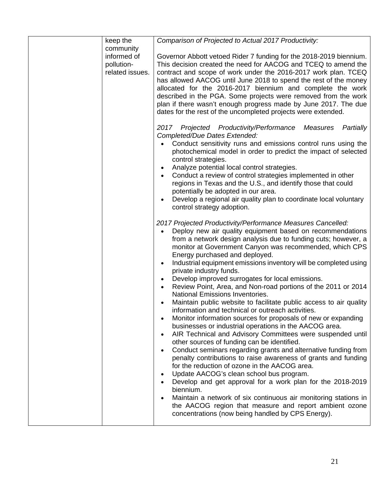| keep the                      | Comparison of Projected to Actual 2017 Productivity:                                                                               |
|-------------------------------|------------------------------------------------------------------------------------------------------------------------------------|
| community                     |                                                                                                                                    |
| informed of                   | Governor Abbott vetoed Rider 7 funding for the 2018-2019 biennium.                                                                 |
| pollution-<br>related issues. | This decision created the need for AACOG and TCEQ to amend the                                                                     |
|                               | contract and scope of work under the 2016-2017 work plan. TCEQ<br>has allowed AACOG until June 2018 to spend the rest of the money |
|                               | allocated for the 2016-2017 biennium and complete the work                                                                         |
|                               | described in the PGA. Some projects were removed from the work                                                                     |
|                               | plan if there wasn't enough progress made by June 2017. The due                                                                    |
|                               | dates for the rest of the uncompleted projects were extended.                                                                      |
|                               |                                                                                                                                    |
|                               | 2017 Projected Productivity/Performance<br>Measures<br>Partially                                                                   |
|                               | Completed/Due Dates Extended:                                                                                                      |
|                               | Conduct sensitivity runs and emissions control runs using the                                                                      |
|                               | photochemical model in order to predict the impact of selected                                                                     |
|                               | control strategies.                                                                                                                |
|                               | Analyze potential local control strategies.                                                                                        |
|                               | Conduct a review of control strategies implemented in other<br>$\bullet$                                                           |
|                               | regions in Texas and the U.S., and identify those that could<br>potentially be adopted in our area.                                |
|                               | Develop a regional air quality plan to coordinate local voluntary                                                                  |
|                               | control strategy adoption.                                                                                                         |
|                               |                                                                                                                                    |
|                               | 2017 Projected Productivity/Performance Measures Cancelled:                                                                        |
|                               | Deploy new air quality equipment based on recommendations                                                                          |
|                               | from a network design analysis due to funding cuts; however, a                                                                     |
|                               | monitor at Government Canyon was recommended, which CPS                                                                            |
|                               | Energy purchased and deployed.                                                                                                     |
|                               | Industrial equipment emissions inventory will be completed using<br>private industry funds.                                        |
|                               | Develop improved surrogates for local emissions.                                                                                   |
|                               | Review Point, Area, and Non-road portions of the 2011 or 2014                                                                      |
|                               | National Emissions Inventories.                                                                                                    |
|                               | Maintain public website to facilitate public access to air quality                                                                 |
|                               | information and technical or outreach activities.                                                                                  |
|                               | Monitor information sources for proposals of new or expanding                                                                      |
|                               | businesses or industrial operations in the AACOG area.                                                                             |
|                               | AIR Technical and Advisory Committees were suspended until                                                                         |
|                               | other sources of funding can be identified.                                                                                        |
|                               | Conduct seminars regarding grants and alternative funding from<br>penalty contributions to raise awareness of grants and funding   |
|                               | for the reduction of ozone in the AACOG area.                                                                                      |
|                               | Update AACOG's clean school bus program.                                                                                           |
|                               | Develop and get approval for a work plan for the 2018-2019                                                                         |
|                               | biennium.                                                                                                                          |
|                               | Maintain a network of six continuous air monitoring stations in                                                                    |
|                               | the AACOG region that measure and report ambient ozone                                                                             |
|                               | concentrations (now being handled by CPS Energy).                                                                                  |
|                               |                                                                                                                                    |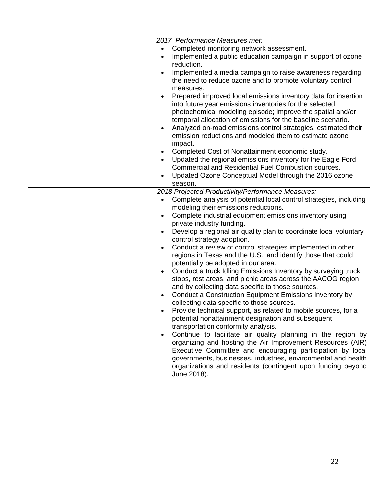| 2017 Performance Measures met:<br>Completed monitoring network assessment.<br>Implemented a public education campaign in support of ozone<br>$\bullet$<br>reduction.<br>Implemented a media campaign to raise awareness regarding<br>$\bullet$<br>the need to reduce ozone and to promote voluntary control<br>measures.<br>Prepared improved local emissions inventory data for insertion<br>$\bullet$<br>into future year emissions inventories for the selected<br>photochemical modeling episode; improve the spatial and/or<br>temporal allocation of emissions for the baseline scenario.<br>Analyzed on-road emissions control strategies, estimated their<br>emission reductions and modeled them to estimate ozone<br>impact.<br>Completed Cost of Nonattainment economic study.<br>$\bullet$<br>Updated the regional emissions inventory for the Eagle Ford<br>$\bullet$<br>Commercial and Residential Fuel Combustion sources.<br>Updated Ozone Conceptual Model through the 2016 ozone<br>season.<br>2018 Projected Productivity/Performance Measures:<br>Complete analysis of potential local control strategies, including<br>$\bullet$<br>modeling their emissions reductions.<br>Complete industrial equipment emissions inventory using<br>$\bullet$<br>private industry funding.<br>Develop a regional air quality plan to coordinate local voluntary<br>$\bullet$<br>control strategy adoption.<br>Conduct a review of control strategies implemented in other<br>$\bullet$<br>regions in Texas and the U.S., and identify those that could<br>potentially be adopted in our area.<br>Conduct a truck Idling Emissions Inventory by surveying truck<br>$\bullet$<br>stops, rest areas, and picnic areas across the AACOG region<br>and by collecting data specific to those sources.<br>Conduct a Construction Equipment Emissions Inventory by<br>$\bullet$<br>collecting data specific to those sources.<br>Provide technical support, as related to mobile sources, for a<br>potential nonattainment designation and subsequent<br>transportation conformity analysis.<br>Continue to facilitate air quality planning in the region by<br>organizing and hosting the Air Improvement Resources (AIR)<br>Executive Committee and encouraging participation by local |
|------------------------------------------------------------------------------------------------------------------------------------------------------------------------------------------------------------------------------------------------------------------------------------------------------------------------------------------------------------------------------------------------------------------------------------------------------------------------------------------------------------------------------------------------------------------------------------------------------------------------------------------------------------------------------------------------------------------------------------------------------------------------------------------------------------------------------------------------------------------------------------------------------------------------------------------------------------------------------------------------------------------------------------------------------------------------------------------------------------------------------------------------------------------------------------------------------------------------------------------------------------------------------------------------------------------------------------------------------------------------------------------------------------------------------------------------------------------------------------------------------------------------------------------------------------------------------------------------------------------------------------------------------------------------------------------------------------------------------------------------------------------------------------------------------------------------------------------------------------------------------------------------------------------------------------------------------------------------------------------------------------------------------------------------------------------------------------------------------------------------------------------------------------------------------------------------------------------------------------------------------------------------------------------|
| governments, businesses, industries, environmental and health<br>organizations and residents (contingent upon funding beyond<br>June 2018).                                                                                                                                                                                                                                                                                                                                                                                                                                                                                                                                                                                                                                                                                                                                                                                                                                                                                                                                                                                                                                                                                                                                                                                                                                                                                                                                                                                                                                                                                                                                                                                                                                                                                                                                                                                                                                                                                                                                                                                                                                                                                                                                              |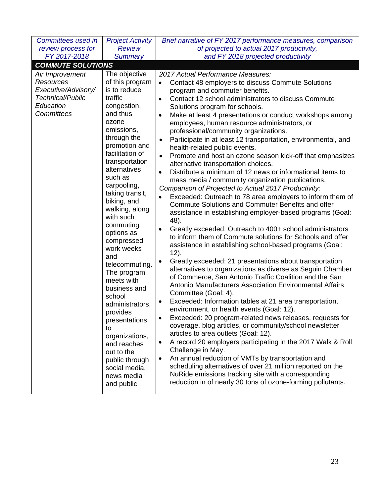| Committees used in                                                                                        | <b>Project Activity</b>                                                                                                                                                                                                                                                                                                                                                                                                                                                                                                                                                                                  | Brief narrative of FY 2017 performance measures, comparison                                                                                                                                                                                                                                                                                                                                                                                                                                                                                                                                                                                                                                                                                                                                                                                                                                                                                                                                                                                                                                                                                                                                                                                                                                                                                                                                                                                                                                                                                                                                                                                                                                                                                                                                                                                                                                                                                                                                                                                                                                                                                                             |
|-----------------------------------------------------------------------------------------------------------|----------------------------------------------------------------------------------------------------------------------------------------------------------------------------------------------------------------------------------------------------------------------------------------------------------------------------------------------------------------------------------------------------------------------------------------------------------------------------------------------------------------------------------------------------------------------------------------------------------|-------------------------------------------------------------------------------------------------------------------------------------------------------------------------------------------------------------------------------------------------------------------------------------------------------------------------------------------------------------------------------------------------------------------------------------------------------------------------------------------------------------------------------------------------------------------------------------------------------------------------------------------------------------------------------------------------------------------------------------------------------------------------------------------------------------------------------------------------------------------------------------------------------------------------------------------------------------------------------------------------------------------------------------------------------------------------------------------------------------------------------------------------------------------------------------------------------------------------------------------------------------------------------------------------------------------------------------------------------------------------------------------------------------------------------------------------------------------------------------------------------------------------------------------------------------------------------------------------------------------------------------------------------------------------------------------------------------------------------------------------------------------------------------------------------------------------------------------------------------------------------------------------------------------------------------------------------------------------------------------------------------------------------------------------------------------------------------------------------------------------------------------------------------------------|
| review process for                                                                                        | <b>Review</b>                                                                                                                                                                                                                                                                                                                                                                                                                                                                                                                                                                                            | of projected to actual 2017 productivity,                                                                                                                                                                                                                                                                                                                                                                                                                                                                                                                                                                                                                                                                                                                                                                                                                                                                                                                                                                                                                                                                                                                                                                                                                                                                                                                                                                                                                                                                                                                                                                                                                                                                                                                                                                                                                                                                                                                                                                                                                                                                                                                               |
| FY 2017-2018                                                                                              | <b>Summary</b>                                                                                                                                                                                                                                                                                                                                                                                                                                                                                                                                                                                           | and FY 2018 projected productivity                                                                                                                                                                                                                                                                                                                                                                                                                                                                                                                                                                                                                                                                                                                                                                                                                                                                                                                                                                                                                                                                                                                                                                                                                                                                                                                                                                                                                                                                                                                                                                                                                                                                                                                                                                                                                                                                                                                                                                                                                                                                                                                                      |
| <b>COMMUTE SOLUTIONS</b>                                                                                  |                                                                                                                                                                                                                                                                                                                                                                                                                                                                                                                                                                                                          |                                                                                                                                                                                                                                                                                                                                                                                                                                                                                                                                                                                                                                                                                                                                                                                                                                                                                                                                                                                                                                                                                                                                                                                                                                                                                                                                                                                                                                                                                                                                                                                                                                                                                                                                                                                                                                                                                                                                                                                                                                                                                                                                                                         |
| Air Improvement<br><b>Resources</b><br>Executive/Advisory/<br>Technical/Public<br>Education<br>Committees | The objective<br>of this program<br>is to reduce<br>traffic<br>congestion,<br>and thus<br>ozone<br>emissions,<br>through the<br>promotion and<br>facilitation of<br>transportation<br>alternatives<br>such as<br>carpooling,<br>taking transit,<br>biking, and<br>walking, along<br>with such<br>commuting<br>options as<br>compressed<br>work weeks<br>and<br>telecommuting.<br>The program<br>meets with<br>business and<br>school<br>administrators,<br>provides<br>presentations<br>to<br>organizations,<br>and reaches<br>out to the<br>public through<br>social media,<br>news media<br>and public | 2017 Actual Performance Measures:<br>Contact 48 employers to discuss Commute Solutions<br>$\bullet$<br>program and commuter benefits.<br>Contact 12 school administrators to discuss Commute<br>$\bullet$<br>Solutions program for schools.<br>Make at least 4 presentations or conduct workshops among<br>$\bullet$<br>employees, human resource administrators, or<br>professional/community organizations.<br>Participate in at least 12 transportation, environmental, and<br>$\bullet$<br>health-related public events,<br>Promote and host an ozone season kick-off that emphasizes<br>$\bullet$<br>alternative transportation choices.<br>Distribute a minimum of 12 news or informational items to<br>$\bullet$<br>mass media / community organization publications.<br>Comparison of Projected to Actual 2017 Productivity:<br>Exceeded: Outreach to 78 area employers to inform them of<br>$\bullet$<br>Commute Solutions and Commuter Benefits and offer<br>assistance in establishing employer-based programs (Goal:<br>48).<br>Greatly exceeded: Outreach to 400+ school administrators<br>٠<br>to inform them of Commute solutions for Schools and offer<br>assistance in establishing school-based programs (Goal:<br>12).<br>Greatly exceeded: 21 presentations about transportation<br>$\bullet$<br>alternatives to organizations as diverse as Seguin Chamber<br>of Commerce, San Antonio Traffic Coalition and the San<br>Antonio Manufacturers Association Environmental Affairs<br>Committee (Goal: 4).<br>Exceeded: Information tables at 21 area transportation,<br>$\bullet$<br>environment, or health events (Goal: 12).<br>Exceeded: 20 program-related news releases, requests for<br>coverage, blog articles, or community/school newsletter<br>articles to area outlets (Goal: 12).<br>A record 20 employers participating in the 2017 Walk & Roll<br>$\bullet$<br>Challenge in May.<br>An annual reduction of VMTs by transportation and<br>$\bullet$<br>scheduling alternatives of over 21 million reported on the<br>NuRide emissions tracking site with a corresponding<br>reduction in of nearly 30 tons of ozone-forming pollutants. |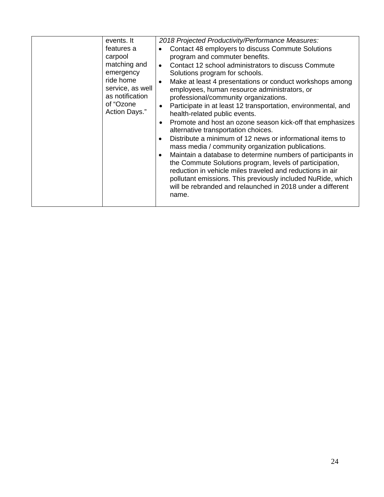| events. It<br>features a<br>carpool<br>matching and<br>emergency<br>ride home<br>service, as well<br>as notification<br>of "Ozone<br>Action Days." | 2018 Projected Productivity/Performance Measures:<br>Contact 48 employers to discuss Commute Solutions<br>$\bullet$<br>program and commuter benefits.<br>Contact 12 school administrators to discuss Commute<br>$\bullet$<br>Solutions program for schools.<br>Make at least 4 presentations or conduct workshops among<br>$\bullet$<br>employees, human resource administrators, or<br>professional/community organizations.<br>Participate in at least 12 transportation, environmental, and<br>$\bullet$<br>health-related public events.<br>Promote and host an ozone season kick-off that emphasizes<br>$\bullet$<br>alternative transportation choices.<br>Distribute a minimum of 12 news or informational items to<br>$\bullet$<br>mass media / community organization publications.<br>Maintain a database to determine numbers of participants in<br>$\bullet$<br>the Commute Solutions program, levels of participation,<br>reduction in vehicle miles traveled and reductions in air<br>pollutant emissions. This previously included NuRide, which<br>will be rebranded and relaunched in 2018 under a different<br>name. |
|----------------------------------------------------------------------------------------------------------------------------------------------------|----------------------------------------------------------------------------------------------------------------------------------------------------------------------------------------------------------------------------------------------------------------------------------------------------------------------------------------------------------------------------------------------------------------------------------------------------------------------------------------------------------------------------------------------------------------------------------------------------------------------------------------------------------------------------------------------------------------------------------------------------------------------------------------------------------------------------------------------------------------------------------------------------------------------------------------------------------------------------------------------------------------------------------------------------------------------------------------------------------------------------------------|
|                                                                                                                                                    |                                                                                                                                                                                                                                                                                                                                                                                                                                                                                                                                                                                                                                                                                                                                                                                                                                                                                                                                                                                                                                                                                                                                        |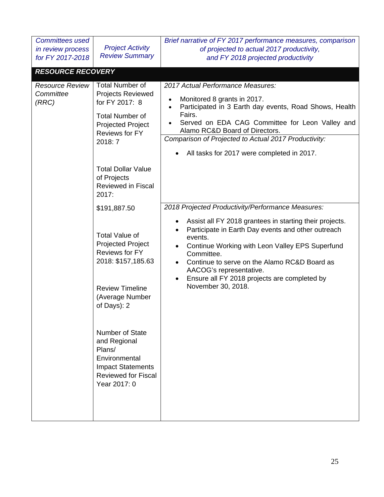| <b>Committees used</b>                       |                                                                                                                                                              | Brief narrative of FY 2017 performance measures, comparison                                                                                                                                                                                                                                                                                                          |
|----------------------------------------------|--------------------------------------------------------------------------------------------------------------------------------------------------------------|----------------------------------------------------------------------------------------------------------------------------------------------------------------------------------------------------------------------------------------------------------------------------------------------------------------------------------------------------------------------|
| in review process                            | <b>Project Activity</b>                                                                                                                                      | of projected to actual 2017 productivity,                                                                                                                                                                                                                                                                                                                            |
| for FY 2017-2018                             | <b>Review Summary</b>                                                                                                                                        | and FY 2018 projected productivity                                                                                                                                                                                                                                                                                                                                   |
|                                              |                                                                                                                                                              |                                                                                                                                                                                                                                                                                                                                                                      |
| <b>RESOURCE RECOVERY</b>                     |                                                                                                                                                              |                                                                                                                                                                                                                                                                                                                                                                      |
| <b>Resource Review</b><br>Committee<br>(RRC) | <b>Total Number of</b><br><b>Projects Reviewed</b><br>for FY 2017: 8<br><b>Total Number of</b><br>Projected Project<br><b>Reviews for FY</b>                 | 2017 Actual Performance Measures:<br>Monitored 8 grants in 2017.<br>$\bullet$<br>Participated in 3 Earth day events, Road Shows, Health<br>$\bullet$<br>Fairs.<br>Served on EDA CAG Committee for Leon Valley and<br>$\bullet$<br>Alamo RC&D Board of Directors.                                                                                                     |
|                                              | 2018: 7                                                                                                                                                      | Comparison of Projected to Actual 2017 Productivity:                                                                                                                                                                                                                                                                                                                 |
|                                              |                                                                                                                                                              | All tasks for 2017 were completed in 2017.                                                                                                                                                                                                                                                                                                                           |
|                                              | <b>Total Dollar Value</b><br>of Projects<br><b>Reviewed in Fiscal</b><br>2017:                                                                               |                                                                                                                                                                                                                                                                                                                                                                      |
|                                              | \$191,887.50                                                                                                                                                 | 2018 Projected Productivity/Performance Measures:                                                                                                                                                                                                                                                                                                                    |
|                                              | <b>Total Value of</b><br><b>Projected Project</b><br><b>Reviews for FY</b><br>2018: \$157,185.63<br><b>Review Timeline</b><br>(Average Number<br>of Days): 2 | Assist all FY 2018 grantees in starting their projects.<br>Participate in Earth Day events and other outreach<br>$\bullet$<br>events.<br>Continue Working with Leon Valley EPS Superfund<br>Committee.<br>Continue to serve on the Alamo RC&D Board as<br>$\bullet$<br>AACOG's representative.<br>Ensure all FY 2018 projects are completed by<br>November 30, 2018. |
|                                              | <b>Number of State</b><br>and Regional<br>Plans/<br>Environmental<br><b>Impact Statements</b><br><b>Reviewed for Fiscal</b><br>Year 2017: 0                  |                                                                                                                                                                                                                                                                                                                                                                      |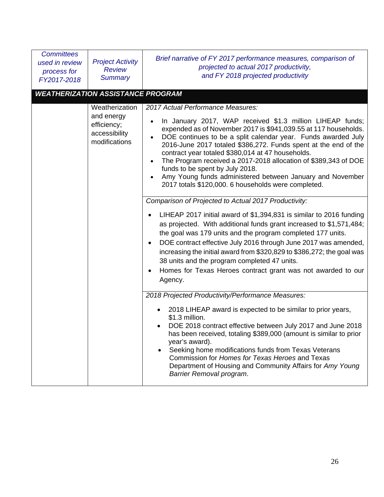| <b>Committees</b><br>used in review<br>process for<br>FY2017-2018 | <b>Project Activity</b><br><b>Review</b><br><b>Summary</b>                    | Brief narrative of FY 2017 performance measures, comparison of<br>projected to actual 2017 productivity,<br>and FY 2018 projected productivity                                                                                                                                                                                                                                                                                                                                                                                                                                       |
|-------------------------------------------------------------------|-------------------------------------------------------------------------------|--------------------------------------------------------------------------------------------------------------------------------------------------------------------------------------------------------------------------------------------------------------------------------------------------------------------------------------------------------------------------------------------------------------------------------------------------------------------------------------------------------------------------------------------------------------------------------------|
|                                                                   | <b>WEATHERIZATION ASSISTANCE PROGRAM</b>                                      |                                                                                                                                                                                                                                                                                                                                                                                                                                                                                                                                                                                      |
|                                                                   | Weatherization<br>and energy<br>efficiency;<br>accessibility<br>modifications | 2017 Actual Performance Measures:<br>In January 2017, WAP received \$1.3 million LIHEAP funds;<br>expended as of November 2017 is \$941,039.55 at 117 households.<br>DOE continues to be a split calendar year. Funds awarded July<br>2016-June 2017 totaled \$386,272. Funds spent at the end of the<br>contract year totaled \$380,014 at 47 households.<br>The Program received a 2017-2018 allocation of \$389,343 of DOE<br>funds to be spent by July 2018.<br>Amy Young funds administered between January and November<br>2017 totals \$120,000. 6 households were completed. |
|                                                                   |                                                                               | Comparison of Projected to Actual 2017 Productivity:<br>LIHEAP 2017 initial award of \$1,394,831 is similar to 2016 funding<br>as projected. With additional funds grant increased to \$1,571,484;<br>the goal was 179 units and the program completed 177 units.<br>DOE contract effective July 2016 through June 2017 was amended,<br>$\bullet$<br>increasing the initial award from \$320,829 to \$386,272; the goal was<br>38 units and the program completed 47 units.<br>Homes for Texas Heroes contract grant was not awarded to our<br>Agency.                               |
|                                                                   |                                                                               | 2018 Projected Productivity/Performance Measures:<br>2018 LIHEAP award is expected to be similar to prior years,<br>\$1.3 million.<br>DOE 2018 contract effective between July 2017 and June 2018<br>٠<br>has been received, totaling \$389,000 (amount is similar to prior<br>year's award).<br>Seeking home modifications funds from Texas Veterans<br>Commission for Homes for Texas Heroes and Texas<br>Department of Housing and Community Affairs for Amy Young<br>Barrier Removal program.                                                                                    |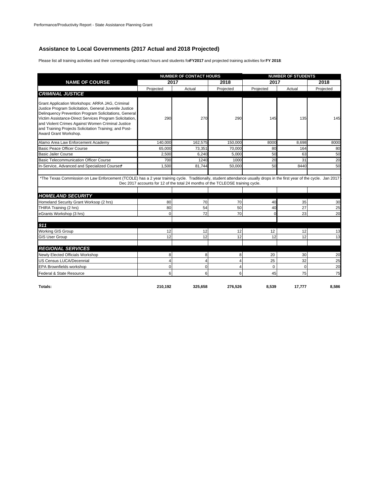### **Assistance to Local Governments (2017 Actual and 2018 Projected)**

Please list all training activities and their corresponding contact hours and students for **FY2017** and projected training activities for **FY 2018**:

|                                                                                                                                                                                                                                                                                                                                                                       | <b>NUMBER OF CONTACT HOURS</b> |                                                                                |           | <b>NUMBER OF STUDENTS</b> |             |           |
|-----------------------------------------------------------------------------------------------------------------------------------------------------------------------------------------------------------------------------------------------------------------------------------------------------------------------------------------------------------------------|--------------------------------|--------------------------------------------------------------------------------|-----------|---------------------------|-------------|-----------|
| <b>NAME OF COURSE</b>                                                                                                                                                                                                                                                                                                                                                 |                                | 2017                                                                           | 2018      | 2017                      |             | 2018      |
|                                                                                                                                                                                                                                                                                                                                                                       | Projected                      | Actual                                                                         | Projected | Projected                 | Actual      | Projected |
| <b>CRIMINAL JUSTICE</b>                                                                                                                                                                                                                                                                                                                                               |                                |                                                                                |           |                           |             |           |
| Grant Application Workshops: ARRA JAG, Criminal<br>Justice Program Solicitation, General Juvenile Justice<br>Delinquency Prevention Program Solicitations, General<br>Victim Assistance-Direct Services Program Solicitation,<br>and Violent Crimes Against Women Criminal Justice<br>and Training Projects Solicitation Training; and Post-<br>Award Grant Workshop. | 290                            | 270                                                                            | 290       | 145                       | 135         | 145       |
| Alamo Area Law Enforcement Academy                                                                                                                                                                                                                                                                                                                                    | 140.000                        | 162.575                                                                        | 150,000   | 8000                      | 8.698       | 8000      |
| Basic Peace Officer Course                                                                                                                                                                                                                                                                                                                                            | 65.000                         | 73,351                                                                         | 70,000    | 80                        | 164         | 80        |
| <b>Basic Jailer Course</b>                                                                                                                                                                                                                                                                                                                                            | 2,500                          | 6.240                                                                          | 5.000     | 50                        | 63          | 50        |
| <b>Basic Telecommunication Officer Course</b>                                                                                                                                                                                                                                                                                                                         | 700                            | 1240                                                                           | 1000      | 20                        | 31          | 20        |
| In-Service, Advanced and Specialized Courses*                                                                                                                                                                                                                                                                                                                         | 1,500                          | 81,744                                                                         | 50,000    | 50                        | 8440        | 50        |
|                                                                                                                                                                                                                                                                                                                                                                       |                                | Dec 2017 accounts for 12 of the total 24 months of the TCLEOSE training cycle. |           |                           |             |           |
| <b>HOMELAND SECURITY</b>                                                                                                                                                                                                                                                                                                                                              |                                |                                                                                |           |                           |             |           |
| Homeland Security Grant Worksop (2 hrs)                                                                                                                                                                                                                                                                                                                               | 80                             | 70                                                                             | 70        | 40                        | 35          | 30        |
| THIRA Training (2 hrs)<br>eGrants Workshop (3 hrs)                                                                                                                                                                                                                                                                                                                    | 80<br>$\Omega$                 | 54<br>72                                                                       | 50<br>70  | 40<br>$\Omega$            | 27<br>23    | 25<br>20  |
|                                                                                                                                                                                                                                                                                                                                                                       |                                |                                                                                |           |                           |             |           |
| 911                                                                                                                                                                                                                                                                                                                                                                   |                                |                                                                                |           |                           |             |           |
| Working GIS Group                                                                                                                                                                                                                                                                                                                                                     | 12                             | 12                                                                             | 12        | 12                        | 12          | 13        |
| <b>GIS User Group</b>                                                                                                                                                                                                                                                                                                                                                 | 12                             | 12                                                                             | 12        | 12                        | 12          | 13        |
| <b>REGIONAL SERVICES</b>                                                                                                                                                                                                                                                                                                                                              |                                |                                                                                |           |                           |             |           |
| Newly Elected Officials Workshop                                                                                                                                                                                                                                                                                                                                      | 8                              | 8                                                                              | 8         | 20                        | 30          | 20        |
| US Census LUCA/Decennial                                                                                                                                                                                                                                                                                                                                              | 4                              | 4                                                                              |           | 25                        | 32          | 25        |
| <b>EPA Brownfields workshop</b>                                                                                                                                                                                                                                                                                                                                       | $\mathbf 0$                    | $\Omega$                                                                       | Δ         | 0                         | $\mathbf 0$ | 20        |
| Federal & State Resource                                                                                                                                                                                                                                                                                                                                              | 6                              | 6                                                                              | 6         | 45                        | 75          | 75        |
|                                                                                                                                                                                                                                                                                                                                                                       |                                |                                                                                |           |                           |             |           |
| Totals:                                                                                                                                                                                                                                                                                                                                                               | 210.192                        | 325.658                                                                        | 276.526   | 8.539                     | 17.777      | 8.586     |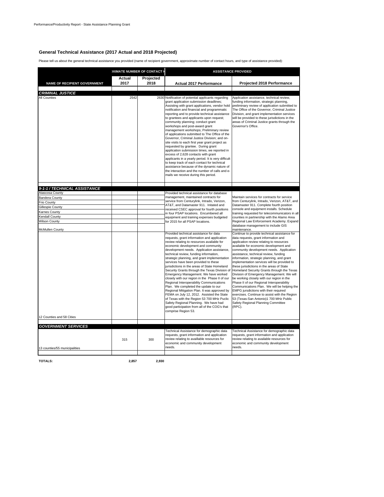#### **General Technical Assistance (2017 Actual and 2018 Projected)**

Please tell us about the general technical assistance you provided (name of recipient government, approximate number of contact hours, and type of assistance provided):

|                                                             |                | <b>IXIMATE NUMBER OF CONTACT H</b> | <b>ASSISTANCE PROVIDED</b>                                                                                                                                                                                                                                                                                                                                                                                                                                                                                                                                                                                                                                                                                                                                                                                                                                                                                                                       |                                                                                                                                                                                                                                                                                                                                                                                                                                                                                                                                                                                                                                                                                                                                                                                                                                   |  |  |
|-------------------------------------------------------------|----------------|------------------------------------|--------------------------------------------------------------------------------------------------------------------------------------------------------------------------------------------------------------------------------------------------------------------------------------------------------------------------------------------------------------------------------------------------------------------------------------------------------------------------------------------------------------------------------------------------------------------------------------------------------------------------------------------------------------------------------------------------------------------------------------------------------------------------------------------------------------------------------------------------------------------------------------------------------------------------------------------------|-----------------------------------------------------------------------------------------------------------------------------------------------------------------------------------------------------------------------------------------------------------------------------------------------------------------------------------------------------------------------------------------------------------------------------------------------------------------------------------------------------------------------------------------------------------------------------------------------------------------------------------------------------------------------------------------------------------------------------------------------------------------------------------------------------------------------------------|--|--|
| <b>NAME OF RECIPIENT GOVERNMENT</b>                         | Actual<br>2017 | Projected<br>2018                  | <b>Actual 2017 Performance</b>                                                                                                                                                                                                                                                                                                                                                                                                                                                                                                                                                                                                                                                                                                                                                                                                                                                                                                                   | Projected 2018 Performance                                                                                                                                                                                                                                                                                                                                                                                                                                                                                                                                                                                                                                                                                                                                                                                                        |  |  |
| <b>CRIMINAL JUSTICE</b>                                     |                |                                    |                                                                                                                                                                                                                                                                                                                                                                                                                                                                                                                                                                                                                                                                                                                                                                                                                                                                                                                                                  |                                                                                                                                                                                                                                                                                                                                                                                                                                                                                                                                                                                                                                                                                                                                                                                                                                   |  |  |
| All Counties                                                | 2542           |                                    | 2630 Notification of potential applicants regarding<br>grant application submission deadlines;<br>Assisting with grant applications, vendor hold<br>notification and financial and programmatic<br>reporting and to provide technical assistance<br>to grantees and applicants upon request;<br>community planning; conduct grant<br>workshops and post-award grant<br>management workshops: Preliminary review<br>of applications submitted to The Office of the<br>Governor, Criminal Justice Division; and on-<br>site visits to each first year grant project as<br>requested by grantee. During grant<br>application submission times, we reported in<br>excess of 2,628 contacts with grant<br>applicants in a yearly period. It is very difficult<br>to keep track of each contact for technical<br>assistance because of the dynamic nature of<br>the interaction and the number of calls and e-<br>mails we receive during this period. | Application assistance, technical review,<br>funding information, strategic planning,<br>preliminary review of application submitted to<br>The Office of the Governor, Criminal Justice<br>Division, and grant implementation services<br>will be provided to these jurisdictions in the<br>areas of Criminal Justice grants through the<br>Governor's Office.                                                                                                                                                                                                                                                                                                                                                                                                                                                                    |  |  |
|                                                             |                |                                    |                                                                                                                                                                                                                                                                                                                                                                                                                                                                                                                                                                                                                                                                                                                                                                                                                                                                                                                                                  |                                                                                                                                                                                                                                                                                                                                                                                                                                                                                                                                                                                                                                                                                                                                                                                                                                   |  |  |
| 9-1-1 / TECHNICAL ASSISTANCE<br>Atascosa County             |                |                                    | Provided technical assistance for database                                                                                                                                                                                                                                                                                                                                                                                                                                                                                                                                                                                                                                                                                                                                                                                                                                                                                                       |                                                                                                                                                                                                                                                                                                                                                                                                                                                                                                                                                                                                                                                                                                                                                                                                                                   |  |  |
| Bandera County                                              |                |                                    | management, maintained contracts for                                                                                                                                                                                                                                                                                                                                                                                                                                                                                                                                                                                                                                                                                                                                                                                                                                                                                                             | Maintain services for contracts for service                                                                                                                                                                                                                                                                                                                                                                                                                                                                                                                                                                                                                                                                                                                                                                                       |  |  |
| Frio County                                                 |                |                                    | service from Centurylink, Intrado, Verizon,                                                                                                                                                                                                                                                                                                                                                                                                                                                                                                                                                                                                                                                                                                                                                                                                                                                                                                      | from Centurylink, Intrado, Verizon, AT&T, and                                                                                                                                                                                                                                                                                                                                                                                                                                                                                                                                                                                                                                                                                                                                                                                     |  |  |
| <b>Gillespie County</b>                                     |                |                                    | AT&T, and Datamaster 911. Initated and                                                                                                                                                                                                                                                                                                                                                                                                                                                                                                                                                                                                                                                                                                                                                                                                                                                                                                           | Datamaster 911. Complete fourth position                                                                                                                                                                                                                                                                                                                                                                                                                                                                                                                                                                                                                                                                                                                                                                                          |  |  |
| <b>Karnes County</b>                                        |                |                                    | received CSEC approval for fourth positions                                                                                                                                                                                                                                                                                                                                                                                                                                                                                                                                                                                                                                                                                                                                                                                                                                                                                                      | console and equipment installs. Schedule                                                                                                                                                                                                                                                                                                                                                                                                                                                                                                                                                                                                                                                                                                                                                                                          |  |  |
|                                                             |                |                                    | in four PSAP locations. Encumbered all                                                                                                                                                                                                                                                                                                                                                                                                                                                                                                                                                                                                                                                                                                                                                                                                                                                                                                           | training requested for telecommunicators in all                                                                                                                                                                                                                                                                                                                                                                                                                                                                                                                                                                                                                                                                                                                                                                                   |  |  |
| <b>Kendall County</b>                                       |                |                                    | equipment and training expenses budgeted                                                                                                                                                                                                                                                                                                                                                                                                                                                                                                                                                                                                                                                                                                                                                                                                                                                                                                         | counties in partnership with the Alamo Area                                                                                                                                                                                                                                                                                                                                                                                                                                                                                                                                                                                                                                                                                                                                                                                       |  |  |
| <b>Wilson County</b>                                        |                |                                    | for 2015 for all PSAP locations.                                                                                                                                                                                                                                                                                                                                                                                                                                                                                                                                                                                                                                                                                                                                                                                                                                                                                                                 | Regional Law Enforcement Academy. Expand<br>database management to include GIS                                                                                                                                                                                                                                                                                                                                                                                                                                                                                                                                                                                                                                                                                                                                                    |  |  |
| McMullen County                                             |                |                                    |                                                                                                                                                                                                                                                                                                                                                                                                                                                                                                                                                                                                                                                                                                                                                                                                                                                                                                                                                  | maintenance.                                                                                                                                                                                                                                                                                                                                                                                                                                                                                                                                                                                                                                                                                                                                                                                                                      |  |  |
| 12 Counties and 58 Cities                                   |                |                                    | Provided technical assistance for data<br>requests, grant information and application<br>review relating to resources available for<br>economic development and community<br>development needs. Application assistance,<br>technical review, funding information,<br>strategic planning, and grant implementation<br>services have been provided to these<br>jurisdictions in the areas of State Homeland<br>Security Grants through the Texas Division of<br>Emergency Management. We have worked<br>closely with our region in the Phase II of our<br>Regional Interoperability Communications<br>Plan. We completed the update to our<br>Regional Mitigation Plan. It was approved by<br>FEMA on July 12, 2012. Assisted the State<br>of Texas with the Region 53 700 MHz Puclic<br>Safety Regional Planning. We have had<br>good participation from all of the COG's that<br>comprise Region 53.                                             | Continue to provide technical assistance for<br>data requests, grant information and<br>application review relating to resources<br>available for economic development and<br>community development needs. Application<br>assistance, technical review, funding<br>information, strategic planning, and grant<br>implementation services will be provided to<br>these jurisdictions in the areas of State<br>Homeland Security Grants through the Texas<br>Division of Emergency Management. We will<br>be working closely with our region in the<br>Phase II of our Regional Interoperability<br>Communications Plan. We will be helping the<br>EMPG jursdictions with their required<br>exercises. Continue to assist with the Region<br>53 (Texas-San Antonio)1 700 MHz Public<br>Safety Regional Planning Committee<br>(RPC). |  |  |
|                                                             |                |                                    |                                                                                                                                                                                                                                                                                                                                                                                                                                                                                                                                                                                                                                                                                                                                                                                                                                                                                                                                                  |                                                                                                                                                                                                                                                                                                                                                                                                                                                                                                                                                                                                                                                                                                                                                                                                                                   |  |  |
| <b>GOVERNMENT SERVICES</b><br>13 counties/55 municipalities | 315            | 300                                | Technical Assistance for demographic data<br>requests, grant information and application<br>review relating to availlable resources for<br>economic and community development<br>needs.                                                                                                                                                                                                                                                                                                                                                                                                                                                                                                                                                                                                                                                                                                                                                          | Technical Assistance for demographic data<br>requests, grant information and application<br>review relating to available resources for<br>economic and community development<br>needs.                                                                                                                                                                                                                                                                                                                                                                                                                                                                                                                                                                                                                                            |  |  |

**TOTALS: 2,857 2,930**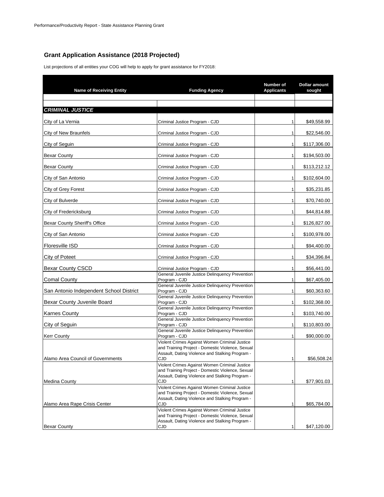## **Grant Application Assistance (2018 Projected)**

List projections of all entities your COG will help to apply for grant assistance for FY2018:

| <b>Name of Receiving Entity</b>         | <b>Funding Agency</b>                                                                                                                                       | Number of<br><b>Applicants</b> | <b>Dollar amount</b><br>sought |
|-----------------------------------------|-------------------------------------------------------------------------------------------------------------------------------------------------------------|--------------------------------|--------------------------------|
|                                         |                                                                                                                                                             |                                |                                |
| <b>CRIMINAL JUSTICE</b>                 |                                                                                                                                                             |                                |                                |
| City of La Vernia                       | Criminal Justice Program - CJD                                                                                                                              |                                | \$49.558.99                    |
| City of New Braunfels                   | Criminal Justice Program - CJD                                                                                                                              | 1                              | \$22,546.00                    |
| City of Seguin                          | Criminal Justice Program - CJD                                                                                                                              | 1                              | \$117,306.00                   |
| <b>Bexar County</b>                     | Criminal Justice Program - CJD                                                                                                                              | $\mathbf{1}$                   | \$194,503.00                   |
| <b>Bexar County</b>                     | Criminal Justice Program - CJD                                                                                                                              | $\mathbf{1}$                   | \$113,212.12                   |
| City of San Antonio                     | Criminal Justice Program - CJD                                                                                                                              | $\mathbf{1}$                   | \$102,604.00                   |
| City of Grey Forest                     | Criminal Justice Program - CJD                                                                                                                              | 1                              | \$35,231.85                    |
| City of Bulverde                        | Criminal Justice Program - CJD                                                                                                                              | 1                              | \$70,740.00                    |
| City of Fredericksburg                  | Criminal Justice Program - CJD                                                                                                                              | 1                              | \$44,814.88                    |
| Bexar County Sheriff's Office           | Criminal Justice Program - CJD                                                                                                                              | $\mathbf{1}$                   | \$126,827.00                   |
| City of San Antonio                     | Criminal Justice Program - CJD                                                                                                                              | $\mathbf{1}$                   | \$100,978.00                   |
| <b>Floresville ISD</b>                  | Criminal Justice Program - CJD                                                                                                                              | 1                              | \$94,400.00                    |
| City of Poteet                          | Criminal Justice Program - CJD                                                                                                                              | 1                              | \$34,396.84                    |
| <b>Bexar County CSCD</b>                | Criminal Justice Program - CJD                                                                                                                              | 1                              | \$56,441.00                    |
| <b>Comal County</b>                     | General Juvenile Justice Delinquency Prevention<br>Program - CJD                                                                                            | 1                              | \$67,405.00                    |
| San Antonio Independent School District | General Juvenile Justice Delinquency Prevention<br>Program - CJD                                                                                            | 1                              | \$60,363.60                    |
| Bexar County Juvenile Board             | General Juvenile Justice Delinquency Prevention<br>Program - CJD                                                                                            | $\mathbf{1}$                   | \$102,368.00                   |
| <b>Karnes County</b>                    | General Juvenile Justice Delinquency Prevention<br>Program - CJD                                                                                            | 1                              | \$103,740.00                   |
| City of Seguin                          | General Juvenile Justice Delinquency Prevention<br>Program - CJD                                                                                            | $\mathbf{1}$                   | \$110,803.00                   |
| <b>Kerr County</b>                      | General Juvenile Justice Delinquency Prevention<br>Program - CJD                                                                                            | $\mathbf{1}$                   | \$90,000,00                    |
| Alamo Area Council of Governments       | Violent Crimes Against Women Criminal Justice<br>and Training Project - Domestic Violence, Sexual<br>Assault, Dating Violence and Stalking Program -<br>CJD |                                | \$56,508.24                    |
|                                         | Violent Crimes Against Women Criminal Justice<br>and Training Project - Domestic Violence, Sexual<br>Assault, Dating Violence and Stalking Program -        |                                |                                |
| Medina County                           | CJD                                                                                                                                                         | 1                              | \$77,901.03                    |
|                                         | Violent Crimes Against Women Criminal Justice<br>and Training Project - Domestic Violence, Sexual<br>Assault, Dating Violence and Stalking Program -        |                                |                                |
| Alamo Area Rape Crisis Center           | CJD                                                                                                                                                         | 1                              | \$65,784.00                    |
|                                         | Violent Crimes Against Women Criminal Justice<br>and Training Project - Domestic Violence, Sexual                                                           |                                |                                |
| <b>Bexar County</b>                     | Assault, Dating Violence and Stalking Program -<br>CJD                                                                                                      | 1                              | \$47,120.00                    |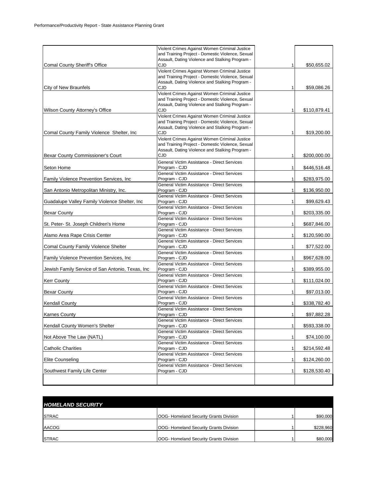| Comal County Sheriff's Office                    | Violent Crimes Against Women Criminal Justice<br>and Training Project - Domestic Violence, Sexual<br>Assault, Dating Violence and Stalking Program -<br>CJD | 1            | \$50,655.02  |
|--------------------------------------------------|-------------------------------------------------------------------------------------------------------------------------------------------------------------|--------------|--------------|
|                                                  | Violent Crimes Against Women Criminal Justice<br>and Training Project - Domestic Violence, Sexual<br>Assault, Dating Violence and Stalking Program -        |              |              |
| City of New Braunfels                            | CJD                                                                                                                                                         | 1            | \$59,086.26  |
|                                                  | Violent Crimes Against Women Criminal Justice<br>and Training Project - Domestic Violence, Sexual<br>Assault, Dating Violence and Stalking Program -        |              |              |
| Wilson County Attorney's Office                  | CJD                                                                                                                                                         | 1            | \$110,879.41 |
|                                                  | Violent Crimes Against Women Criminal Justice<br>and Training Project - Domestic Violence, Sexual<br>Assault, Dating Violence and Stalking Program -        |              |              |
| Comal County Family Violence Shelter, Inc.       | CJD                                                                                                                                                         | 1            | \$19,200.00  |
|                                                  | Violent Crimes Against Women Criminal Justice<br>and Training Project - Domestic Violence, Sexual<br>Assault, Dating Violence and Stalking Program -        |              |              |
| Bexar County Commissioner's Court                | CJD                                                                                                                                                         | 1            | \$200,000.00 |
| Seton Home                                       | General Victim Assistance - Direct Services<br>Program - CJD                                                                                                | 1            | \$446,516.48 |
| Family Violence Prevention Services, Inc.        | General Victim Assistance - Direct Services<br>Program - CJD                                                                                                | 1            | \$283,975.00 |
| San Antonio Metropolitan Ministry, Inc.          | General Victim Assistance - Direct Services<br>Program - CJD                                                                                                | 1            | \$136,950.00 |
| Guadalupe Valley Family Violence Shelter, Inc.   | General Victim Assistance - Direct Services<br>Program - CJD                                                                                                | 1            | \$99,629.43  |
| <b>Bexar County</b>                              | General Victim Assistance - Direct Services<br>Program - CJD                                                                                                | $\mathbf{1}$ | \$203,335.00 |
| St. Peter- St. Joseph Children's Home            | General Victim Assistance - Direct Services<br>Program - CJD                                                                                                | 1            | \$687,846.00 |
| Alamo Area Rape Crisis Center                    | General Victim Assistance - Direct Services<br>Program - CJD                                                                                                | 1            | \$120,590.00 |
| Comal County Family Violence Shelter             | General Victim Assistance - Direct Services<br>Program - CJD                                                                                                | 1            | \$77,522.00  |
| Family Violence Prevention Services, Inc.        | General Victim Assistance - Direct Services<br>Program - CJD                                                                                                | 1            | \$967,628.00 |
| Jewish Family Service of San Antonio, Texas, Inc | General Victim Assistance - Direct Services<br>Program - CJD                                                                                                | 1            | \$389,955.00 |
| <b>Kerr County</b>                               | General Victim Assistance - Direct Services<br>Program - CJD<br>General Victim Assistance - Direct Services                                                 | $\mathbf{1}$ | \$111,024.00 |
| <b>Bexar County</b>                              | Program - CJD<br>General Victim Assistance - Direct Services                                                                                                | 1            | \$97,013.00  |
| <b>Kendall County</b>                            | Program - CJD                                                                                                                                               | 1            | \$338,782.40 |
| <b>Karnes County</b>                             | General Victim Assistance - Direct Services<br>Program - CJD<br>General Victim Assistance - Direct Services                                                 | 1            | \$97,882.28  |
| Kendall County Women's Shelter                   | Program - C.ID                                                                                                                                              | $\mathbf{1}$ | \$593,338.00 |
| Not Above The Law (NATL)                         | General Victim Assistance - Direct Services<br>Program - CJD                                                                                                | 1            | \$74,100.00  |
| <b>Catholic Charities</b>                        | General Victim Assistance - Direct Services<br>Program - CJD                                                                                                | $\mathbf{1}$ | \$214,592.48 |
| <b>Elite Counseling</b>                          | General Victim Assistance - Direct Services<br>Program - CJD                                                                                                | $\mathbf{1}$ | \$124,260.00 |
| Southwest Family Life Center                     | General Victim Assistance - Direct Services<br>Program - CJD                                                                                                | 1            | \$128,530.40 |
|                                                  |                                                                                                                                                             |              |              |

| <b>HOMELAND SECURITY</b> |                                               |           |
|--------------------------|-----------------------------------------------|-----------|
| <b>STRAC</b>             | <b>OOG- Homeland Security Grants Division</b> | \$90,000  |
| AACOG                    | <b>OOG- Homeland Security Grants Division</b> | \$228,960 |
| <b>STRAC</b>             | OOG- Homeland Security Grants Division        | \$80,000  |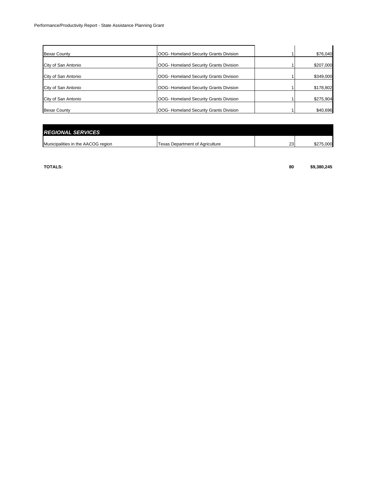| <b>Bexar County</b> | <b>OOG- Homeland Security Grants Division</b> | \$76,040  |
|---------------------|-----------------------------------------------|-----------|
| City of San Antonio | <b>OOG- Homeland Security Grants Division</b> | \$207,000 |
| City of San Antonio | OOG- Homeland Security Grants Division        | \$349,000 |
| City of San Antonio | <b>OOG- Homeland Security Grants Division</b> | \$178,802 |
| City of San Antonio | OOG- Homeland Security Grants Division        | \$275,904 |
| <b>Bexar County</b> | OOG- Homeland Security Grants Division        | \$40,696  |

| <b>REGIONAL SERVICES</b>           |                                        |    |           |
|------------------------------------|----------------------------------------|----|-----------|
| Municipalities in the AACOG region | <b>Texas Department of Agriculture</b> | 23 | \$275,000 |

**TOTALS: 80 \$9,380,245**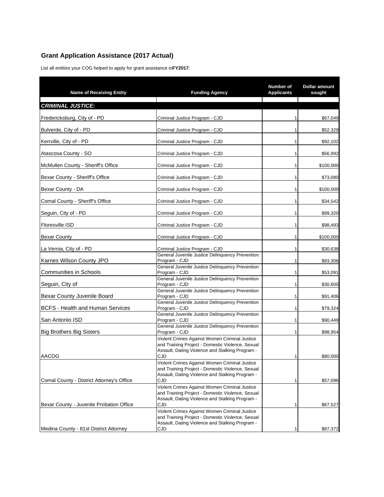## **Grant Application Assistance (2017 Actual)**

List all entities your COG helped to apply for grant assistance in **FY2017**:

| <b>Name of Receiving Entity</b>           | <b>Funding Agency</b>                                                                                                                                | Number of<br><b>Applicants</b> | Dollar amount<br>sought |
|-------------------------------------------|------------------------------------------------------------------------------------------------------------------------------------------------------|--------------------------------|-------------------------|
| <b>CRIMINAL JUSTICE:</b>                  |                                                                                                                                                      |                                |                         |
| Fredericksburg, City of - PD              | Criminal Justice Program - CJD                                                                                                                       |                                | \$67,049                |
| Bulverde, City of - PD                    | Criminal Justice Program - CJD                                                                                                                       | 1                              | \$52,329                |
| Kerrville, City of - PD                   | Criminal Justice Program - CJD                                                                                                                       | 1                              | \$92,102                |
| Atascosa County - SO                      | Criminal Justice Program - CJD                                                                                                                       | 1                              | \$56,992                |
| McMullen County - Sheriff's Office        | Criminal Justice Program - CJD                                                                                                                       | 1                              | \$100,000               |
| Bexar County - Sheriff's Office           | Criminal Justice Program - CJD                                                                                                                       | 1                              | \$73,080                |
| Bexar County - DA                         | Criminal Justice Program - CJD                                                                                                                       | 1                              | \$100,000               |
| Comal County - Sheriff's Office           | Criminal Justice Program - CJD                                                                                                                       | 1                              | \$34,542                |
| Seguin, City of - PD                      | Criminal Justice Program - CJD                                                                                                                       | 1                              | \$99,320                |
| Floresville ISD                           | Criminal Justice Program - CJD                                                                                                                       |                                | \$98,493                |
| Bexar County                              | Criminal Justice Program - CJD                                                                                                                       | 1                              | \$100,000               |
| La Vernia, City of - PD                   | Criminal Justice Program - CJD<br>General Juvenile Justice Delinquency Prevention                                                                    | 1                              | \$30,638                |
| Karnes Wilson County JPO                  | Program - CJD                                                                                                                                        | 1                              | \$93,306                |
| <b>Communities in Schools</b>             | General Juvenile Justice Delinquency Prevention<br>Program - CJD                                                                                     | 1                              | \$53,091                |
| Seguin, City of                           | General Juvenile Justice Delinquency Prevention<br>Program - CJD                                                                                     |                                | \$30,600                |
| Bexar County Juvenile Board               | General Juvenile Justice Delinquency Prevention<br>Program - CJD                                                                                     | 1                              | \$91,406                |
| <b>BCFS - Health and Human Services</b>   | General Juvenile Justice Delinquency Prevention<br>Program - CJD                                                                                     | 1                              | \$79,324                |
| San Antonio ISD                           | General Juvenile Justice Delinquency Prevention<br>Program - CJD                                                                                     | 1                              | \$90,449                |
| <b>Big Brothers Big Sisters</b>           | General Juvenile Justice Delinquency Prevention<br>Program - CJD                                                                                     | 1                              | \$98,954                |
|                                           | Violent Crimes Against Women Criminal Justice<br>and Training Project - Domestic Violence, Sexual                                                    |                                |                         |
| <b>AACOG</b>                              | Assault, Dating Violence and Stalking Program -<br>CJD                                                                                               | 1                              | \$80,000                |
|                                           | Violent Crimes Against Women Criminal Justice<br>and Training Project - Domestic Violence, Sexual<br>Assault, Dating Violence and Stalking Program - |                                |                         |
| Comal County - District Attorney's Office | CJD<br>Violent Crimes Against Women Criminal Justice                                                                                                 | 1                              | \$57,096                |
|                                           | and Training Project - Domestic Violence, Sexual<br>Assault, Dating Violence and Stalking Program -                                                  |                                |                         |
| Bexar County - Juvenile Probation Office  | CJD<br>Violent Crimes Against Women Criminal Justice                                                                                                 | 1                              | \$67,527                |
|                                           | and Training Project - Domestic Violence, Sexual<br>Assault, Dating Violence and Stalking Program -                                                  |                                |                         |
| Medina County - 81st District Attorney    | CJD                                                                                                                                                  | 1                              | \$87,372                |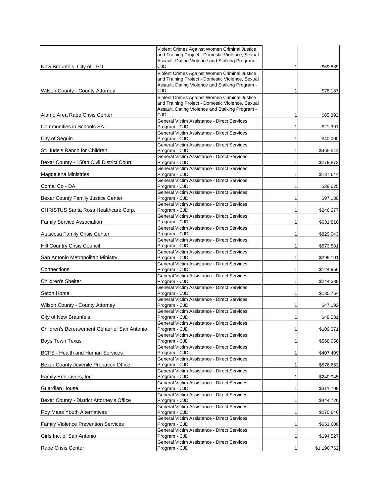|                                              | Violent Crimes Against Women Criminal Justice                                                       |              |             |
|----------------------------------------------|-----------------------------------------------------------------------------------------------------|--------------|-------------|
|                                              | and Training Project - Domestic Violence, Sexual<br>Assault, Dating Violence and Stalking Program - |              |             |
| New Braunfels, City of - PD                  | CJD                                                                                                 | 1            | \$69,839    |
|                                              | Violent Crimes Against Women Criminal Justice<br>and Training Project - Domestic Violence, Sexual   |              |             |
|                                              | Assault, Dating Violence and Stalking Program -                                                     |              |             |
| Wilson County - County Attorney              | CJD                                                                                                 | 1            | \$78,187    |
|                                              | Violent Crimes Against Women Criminal Justice                                                       |              |             |
|                                              | and Training Project - Domestic Violence, Sexual<br>Assault, Dating Violence and Stalking Program - |              |             |
| Alamo Area Rape Crisis Center                | CJD                                                                                                 | 1            | \$65,392    |
|                                              | General Victim Assistance - Direct Services                                                         |              |             |
| Communities in Schools SA                    | Program - CJD                                                                                       | 1            | \$21,391    |
| City of Seguin                               | General Victim Assistance - Direct Services<br>Program - CJD                                        | 1            |             |
|                                              | General Victim Assistance - Direct Services                                                         |              | \$40,000    |
| St. Jude's Ranch for Children                | Program - CJD                                                                                       | 1            | \$465,544   |
|                                              | General Victim Assistance - Direct Services                                                         |              |             |
| Bexar County - 150th Civil District Court    | Program - CJD<br>General Victim Assistance - Direct Services                                        | 1            | \$279,873   |
| Magdalena Ministries                         | Program - CJD                                                                                       | 1            | \$187,644   |
|                                              | General Victim Assistance - Direct Services                                                         |              |             |
| Comal Co - DA                                | Program - CJD                                                                                       | 1            | \$38,625    |
|                                              | General Victim Assistance - Direct Services                                                         |              |             |
| Bexar County Family Justice Center           | Program - CJD<br>General Victim Assistance - Direct Services                                        | 1            | \$97,130    |
| CHRISTUS Santa Rosa Healthcare Corp.         | Program - CJD                                                                                       | 1            | \$246,277   |
|                                              | General Victim Assistance - Direct Services                                                         |              |             |
| <b>Family Service Association</b>            | Program - CJD                                                                                       | 1            | \$631,810   |
|                                              | General Victim Assistance - Direct Services                                                         |              |             |
| Atascosa Family Crisis Center                | Program - CJD<br>General Victim Assistance - Direct Services                                        | 1            | \$829,043   |
| <b>Hill Country Crisis Council</b>           | Program - CJD                                                                                       | 1            | \$573,581   |
|                                              | General Victim Assistance - Direct Services                                                         |              |             |
| San Antonio Metropolitan Ministry            | Program - CJD                                                                                       | 1            | \$299,101   |
|                                              | General Victim Assistance - Direct Services                                                         |              |             |
| Connections                                  | Program - CJD<br>General Victim Assistance - Direct Services                                        | 1            | \$124,956   |
| Children's Shelter                           | Program - CJD                                                                                       |              | \$244,338   |
|                                              | General Victim Assistance - Direct Services                                                         |              |             |
| Seton Home                                   | Program - CJD                                                                                       | 1            | \$135,764   |
| Wilson County - County Attorney              | General Victim Assistance - Direct Services<br>Program - CJD                                        | 1            |             |
|                                              | General Victim Assistance - Direct Services                                                         |              | \$47,192    |
| <b>City of New Braunfels</b>                 | Program - CJD                                                                                       | 1            | \$48,531    |
|                                              | General Victim Assistance - Direct Services                                                         |              |             |
| Children's Bereavement Center of San Antonio | Program - CJD<br>General Victim Assistance - Direct Services                                        | $\mathbf{1}$ | \$109,371   |
| Boys Town Texas                              | Program - CJD                                                                                       | 1            | \$568,058   |
|                                              | General Victim Assistance - Direct Services                                                         |              |             |
| <b>BCFS - Health and Human Services</b>      | Program - CJD                                                                                       | 1            | \$407,409   |
|                                              | General Victim Assistance - Direct Services                                                         |              |             |
| Bexar County Juvenile Probation Office       | Program - CJD<br>General Victim Assistance - Direct Services                                        | 1            | \$576,663   |
| Family Endeavors, Inc                        | Program - CJD                                                                                       | 1            | \$240,945   |
|                                              | General Victim Assistance - Direct Services                                                         |              |             |
| Guardian House                               | Program - CJD                                                                                       | 1            | \$311,709   |
|                                              | General Victim Assistance - Direct Services                                                         |              |             |
| Bexar County - District Attorney's Office    | Program - CJD<br>General Victim Assistance - Direct Services                                        | 1            | \$444,720   |
| Roy Maas Youth Alternatives                  | Program - CJD                                                                                       | 1            | \$270,640   |
|                                              | General Victim Assistance - Direct Services                                                         |              |             |
| <b>Family Violence Prevention Services</b>   | Program - CJD                                                                                       | 1            | \$651,600   |
|                                              | General Victim Assistance - Direct Services<br>Program - CJD                                        |              |             |
| Girls Inc. of San Antonio                    | General Victim Assistance - Direct Services                                                         | 1            | \$194,527   |
| Rape Crisis Center                           | Program - CJD                                                                                       | 1            | \$1,190,762 |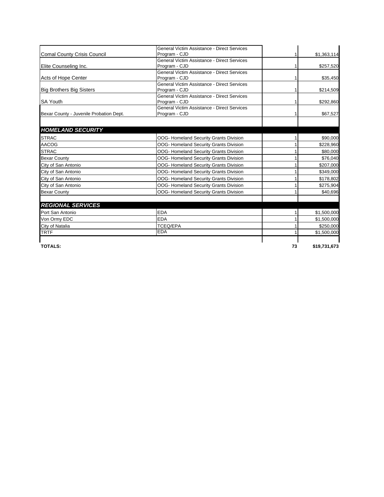|                                         | General Victim Assistance - Direct Services |    |              |
|-----------------------------------------|---------------------------------------------|----|--------------|
| <b>Comal County Crisis Council</b>      | Program - CJD                               |    | \$1,363,114  |
|                                         | General Victim Assistance - Direct Services |    |              |
| Elite Counseling Inc.                   | Program - CJD                               |    | \$257,520    |
|                                         | General Victim Assistance - Direct Services |    |              |
| Acts of Hope Center                     | Program - CJD                               |    | \$35,450     |
|                                         | General Victim Assistance - Direct Services |    |              |
| <b>Big Brothers Big Sisters</b>         | Program - CJD                               |    | \$214,509    |
|                                         | General Victim Assistance - Direct Services |    |              |
| <b>SA Youth</b>                         | Program - CJD                               |    | \$292,860    |
|                                         | General Victim Assistance - Direct Services |    |              |
| Bexar County - Juvenile Probation Dept. | Program - CJD                               |    | \$67,527     |
| <b>HOMELAND SECURITY</b>                |                                             |    |              |
| <b>STRAC</b>                            | OOG- Homeland Security Grants Division      |    | \$90,000     |
| <b>AACOG</b>                            | OOG- Homeland Security Grants Division      |    | \$228,960    |
| <b>STRAC</b>                            | OOG- Homeland Security Grants Division      |    | \$80,000     |
| <b>Bexar County</b>                     | OOG- Homeland Security Grants Division      |    | \$76,040     |
| City of San Antonio                     | OOG- Homeland Security Grants Division      |    | \$207,000    |
| City of San Antonio                     | OOG- Homeland Security Grants Division      |    | \$349,000    |
| City of San Antonio                     | OOG- Homeland Security Grants Division      |    | \$178,802    |
| City of San Antonio                     | OOG- Homeland Security Grants Division      |    | \$275,904    |
| <b>Bexar County</b>                     | OOG- Homeland Security Grants Division      |    | \$40,696     |
| <b>REGIONAL SERVICES</b>                |                                             |    |              |
| Port San Antonio                        | <b>EDA</b>                                  |    | \$1,500,000  |
| Von Ormy EDC                            | <b>EDA</b>                                  |    | \$1,500,000  |
| City of Natalia                         | <b>TCEQ/EPA</b>                             |    | \$250,000    |
| <b>TRTF</b>                             | <b>EDA</b>                                  |    | \$1,500,000  |
| <b>TOTALS:</b>                          |                                             | 73 | \$19,731,673 |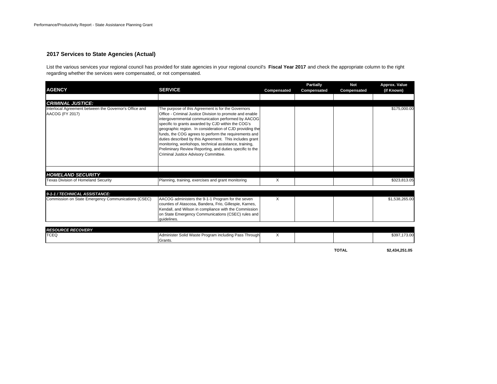#### **2017 Services to State Agencies (Actual)**

List the various services your regional council has provided for state agencies in your regional council's **Fiscal Year 2017** and check the appropriate column to the right regarding whether the services were compensated, or not compensated.

| <b>AGENCY</b>                                                             | <b>SERVICE</b>                                                                                                                                                                                                                                                                                                                                                                                                                                                                                                                                                           | Compensated | <b>Partially</b><br>Compensated | <b>Not</b><br>Compensated | Approx. Value<br>(if Known) |
|---------------------------------------------------------------------------|--------------------------------------------------------------------------------------------------------------------------------------------------------------------------------------------------------------------------------------------------------------------------------------------------------------------------------------------------------------------------------------------------------------------------------------------------------------------------------------------------------------------------------------------------------------------------|-------------|---------------------------------|---------------------------|-----------------------------|
|                                                                           |                                                                                                                                                                                                                                                                                                                                                                                                                                                                                                                                                                          |             |                                 |                           |                             |
| <b>CRIMINAL JUSTICE:</b>                                                  |                                                                                                                                                                                                                                                                                                                                                                                                                                                                                                                                                                          |             |                                 |                           |                             |
| Interlocal Agreement between the Governor's Office and<br>AACOG (FY 2017) | The purpose of this Agreement is for the Governors<br>Office - Criminal Justice Division to promote and enable<br>intergovernmental communication performed by AACOG<br>specific to grants awarded by CJD within the COG's<br>geographic region. In consideration of CJD providing the<br>funds, the COG agrees to perform the requirements and<br>duties described by this Agreement. This includes grant<br>monitoring, workshops, technical assistance, training,<br>Preliminary Review Reporting, and duties specific to the<br>Criminal Justice Advisory Committee. |             |                                 |                           | \$175,000.00                |
|                                                                           |                                                                                                                                                                                                                                                                                                                                                                                                                                                                                                                                                                          |             |                                 |                           |                             |
| <b>HOMELAND SECURITY</b>                                                  |                                                                                                                                                                                                                                                                                                                                                                                                                                                                                                                                                                          |             |                                 |                           |                             |
| <b>Texas Division of Homeland Security</b>                                | Planning, training, exercises and grant monitoring                                                                                                                                                                                                                                                                                                                                                                                                                                                                                                                       | X           |                                 |                           | \$323,813.05                |
| 9-1-1 / TECHNICAL ASSISTANCE:                                             |                                                                                                                                                                                                                                                                                                                                                                                                                                                                                                                                                                          |             |                                 |                           |                             |
| Commission on State Emergency Communications (CSEC)                       | AACOG administers the 9-1-1 Program for the seven<br>counties of Atascosa, Bandera, Frio, Gillespie, Karnes,<br>Kendall, and Wilson in compliance with the Commission<br>on State Emergency Communications (CSEC) rules and<br>quidelines.                                                                                                                                                                                                                                                                                                                               | X           |                                 |                           | \$1,538,265.00              |
|                                                                           |                                                                                                                                                                                                                                                                                                                                                                                                                                                                                                                                                                          |             |                                 |                           |                             |
| <b>RESOURCE RECOVERY</b><br><b>TCEQ</b>                                   | Administer Solid Waste Program including Pass Through<br>Grants.                                                                                                                                                                                                                                                                                                                                                                                                                                                                                                         | Χ           |                                 |                           | \$397,173.00                |
|                                                                           |                                                                                                                                                                                                                                                                                                                                                                                                                                                                                                                                                                          |             |                                 | <b>TOTAL</b>              | \$2.434.251.05              |